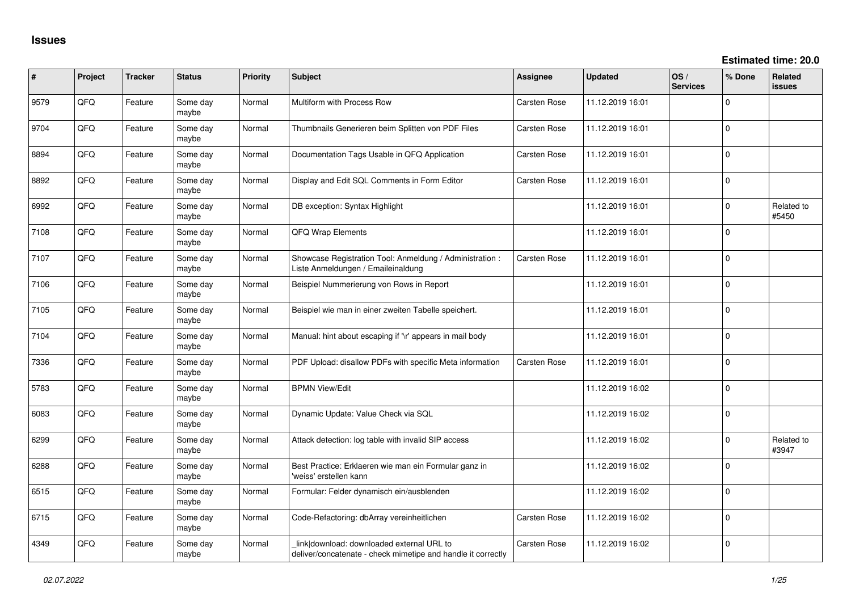| ∦    | Project | <b>Tracker</b> | <b>Status</b>     | <b>Priority</b> | <b>Subject</b>                                                                                            | Assignee            | <b>Updated</b>   | OS/<br><b>Services</b> | % Done         | <b>Related</b><br>issues |
|------|---------|----------------|-------------------|-----------------|-----------------------------------------------------------------------------------------------------------|---------------------|------------------|------------------------|----------------|--------------------------|
| 9579 | QFQ     | Feature        | Some day<br>maybe | Normal          | Multiform with Process Row                                                                                | Carsten Rose        | 11.12.2019 16:01 |                        | $\Omega$       |                          |
| 9704 | QFQ     | Feature        | Some day<br>maybe | Normal          | Thumbnails Generieren beim Splitten von PDF Files                                                         | <b>Carsten Rose</b> | 11.12.2019 16:01 |                        | 0              |                          |
| 8894 | QFQ     | Feature        | Some day<br>maybe | Normal          | Documentation Tags Usable in QFQ Application                                                              | Carsten Rose        | 11.12.2019 16:01 |                        | $\Omega$       |                          |
| 8892 | QFQ     | Feature        | Some day<br>maybe | Normal          | Display and Edit SQL Comments in Form Editor                                                              | Carsten Rose        | 11.12.2019 16:01 |                        | 0              |                          |
| 6992 | QFQ     | Feature        | Some day<br>maybe | Normal          | DB exception: Syntax Highlight                                                                            |                     | 11.12.2019 16:01 |                        | $\overline{0}$ | Related to<br>#5450      |
| 7108 | QFQ     | Feature        | Some day<br>maybe | Normal          | QFQ Wrap Elements                                                                                         |                     | 11.12.2019 16:01 |                        | $\Omega$       |                          |
| 7107 | QFQ     | Feature        | Some day<br>maybe | Normal          | Showcase Registration Tool: Anmeldung / Administration :<br>Liste Anmeldungen / Emaileinaldung            | Carsten Rose        | 11.12.2019 16:01 |                        | 0              |                          |
| 7106 | QFQ     | Feature        | Some day<br>maybe | Normal          | Beispiel Nummerierung von Rows in Report                                                                  |                     | 11.12.2019 16:01 |                        | $\mathbf 0$    |                          |
| 7105 | QFQ     | Feature        | Some day<br>maybe | Normal          | Beispiel wie man in einer zweiten Tabelle speichert.                                                      |                     | 11.12.2019 16:01 |                        | $\Omega$       |                          |
| 7104 | QFQ     | Feature        | Some day<br>maybe | Normal          | Manual: hint about escaping if '\r' appears in mail body                                                  |                     | 11.12.2019 16:01 |                        | $\mathbf{0}$   |                          |
| 7336 | QFQ     | Feature        | Some day<br>maybe | Normal          | PDF Upload: disallow PDFs with specific Meta information                                                  | <b>Carsten Rose</b> | 11.12.2019 16:01 |                        | 0              |                          |
| 5783 | QFQ     | Feature        | Some day<br>maybe | Normal          | <b>BPMN View/Edit</b>                                                                                     |                     | 11.12.2019 16:02 |                        | 0              |                          |
| 6083 | QFQ     | Feature        | Some day<br>maybe | Normal          | Dynamic Update: Value Check via SQL                                                                       |                     | 11.12.2019 16:02 |                        | $\mathbf{0}$   |                          |
| 6299 | QFQ     | Feature        | Some day<br>maybe | Normal          | Attack detection: log table with invalid SIP access                                                       |                     | 11.12.2019 16:02 |                        | $\mathbf 0$    | Related to<br>#3947      |
| 6288 | QFQ     | Feature        | Some day<br>maybe | Normal          | Best Practice: Erklaeren wie man ein Formular ganz in<br>'weiss' erstellen kann                           |                     | 11.12.2019 16:02 |                        | 0              |                          |
| 6515 | QFQ     | Feature        | Some day<br>maybe | Normal          | Formular: Felder dynamisch ein/ausblenden                                                                 |                     | 11.12.2019 16:02 |                        | 0              |                          |
| 6715 | QFQ     | Feature        | Some day<br>maybe | Normal          | Code-Refactoring: dbArray vereinheitlichen                                                                | <b>Carsten Rose</b> | 11.12.2019 16:02 |                        | $\Omega$       |                          |
| 4349 | QFQ     | Feature        | Some day<br>maybe | Normal          | link download: downloaded external URL to<br>deliver/concatenate - check mimetipe and handle it correctly | Carsten Rose        | 11.12.2019 16:02 |                        | $\mathbf 0$    |                          |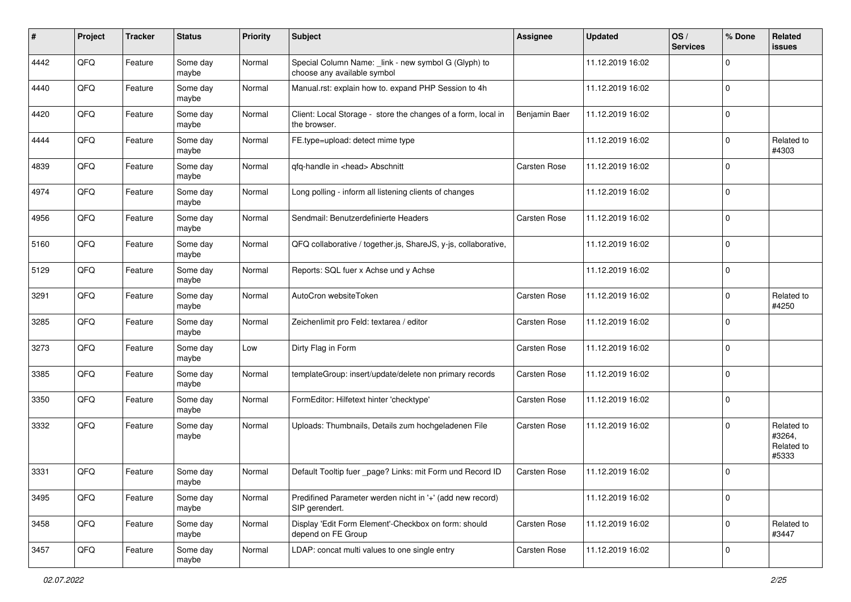| #    | Project | <b>Tracker</b> | <b>Status</b>     | <b>Priority</b> | <b>Subject</b>                                                                      | Assignee            | <b>Updated</b>   | OS/<br><b>Services</b> | % Done       | Related<br>issues                           |
|------|---------|----------------|-------------------|-----------------|-------------------------------------------------------------------------------------|---------------------|------------------|------------------------|--------------|---------------------------------------------|
| 4442 | QFQ     | Feature        | Some day<br>maybe | Normal          | Special Column Name: _link - new symbol G (Glyph) to<br>choose any available symbol |                     | 11.12.2019 16:02 |                        | $\mathbf{0}$ |                                             |
| 4440 | QFQ     | Feature        | Some day<br>maybe | Normal          | Manual.rst: explain how to. expand PHP Session to 4h                                |                     | 11.12.2019 16:02 |                        | $\mathbf 0$  |                                             |
| 4420 | QFQ     | Feature        | Some day<br>maybe | Normal          | Client: Local Storage - store the changes of a form, local in<br>the browser.       | Benjamin Baer       | 11.12.2019 16:02 |                        | $\mathbf 0$  |                                             |
| 4444 | QFQ     | Feature        | Some day<br>maybe | Normal          | FE.type=upload: detect mime type                                                    |                     | 11.12.2019 16:02 |                        | $\mathbf 0$  | Related to<br>#4303                         |
| 4839 | QFQ     | Feature        | Some day<br>maybe | Normal          | qfq-handle in <head> Abschnitt</head>                                               | <b>Carsten Rose</b> | 11.12.2019 16:02 |                        | $\mathbf{0}$ |                                             |
| 4974 | QFQ     | Feature        | Some day<br>maybe | Normal          | Long polling - inform all listening clients of changes                              |                     | 11.12.2019 16:02 |                        | $\mathbf{0}$ |                                             |
| 4956 | QFQ     | Feature        | Some day<br>maybe | Normal          | Sendmail: Benutzerdefinierte Headers                                                | <b>Carsten Rose</b> | 11.12.2019 16:02 |                        | $\mathbf{0}$ |                                             |
| 5160 | QFQ     | Feature        | Some day<br>maybe | Normal          | QFQ collaborative / together.js, ShareJS, y-js, collaborative,                      |                     | 11.12.2019 16:02 |                        | $\mathbf 0$  |                                             |
| 5129 | QFQ     | Feature        | Some day<br>maybe | Normal          | Reports: SQL fuer x Achse und y Achse                                               |                     | 11.12.2019 16:02 |                        | 0            |                                             |
| 3291 | QFQ     | Feature        | Some day<br>maybe | Normal          | AutoCron websiteToken                                                               | <b>Carsten Rose</b> | 11.12.2019 16:02 |                        | $\mathbf 0$  | Related to<br>#4250                         |
| 3285 | QFQ     | Feature        | Some day<br>maybe | Normal          | Zeichenlimit pro Feld: textarea / editor                                            | <b>Carsten Rose</b> | 11.12.2019 16:02 |                        | $\mathbf 0$  |                                             |
| 3273 | QFQ     | Feature        | Some day<br>maybe | Low             | Dirty Flag in Form                                                                  | <b>Carsten Rose</b> | 11.12.2019 16:02 |                        | $\mathbf 0$  |                                             |
| 3385 | QFQ     | Feature        | Some day<br>maybe | Normal          | templateGroup: insert/update/delete non primary records                             | <b>Carsten Rose</b> | 11.12.2019 16:02 |                        | $\mathbf{0}$ |                                             |
| 3350 | QFQ     | Feature        | Some day<br>maybe | Normal          | FormEditor: Hilfetext hinter 'checktype'                                            | Carsten Rose        | 11.12.2019 16:02 |                        | $\mathbf{0}$ |                                             |
| 3332 | QFQ     | Feature        | Some day<br>maybe | Normal          | Uploads: Thumbnails, Details zum hochgeladenen File                                 | <b>Carsten Rose</b> | 11.12.2019 16:02 |                        | $\Omega$     | Related to<br>#3264,<br>Related to<br>#5333 |
| 3331 | QFQ     | Feature        | Some day<br>maybe | Normal          | Default Tooltip fuer _page? Links: mit Form und Record ID                           | <b>Carsten Rose</b> | 11.12.2019 16:02 |                        | $\Omega$     |                                             |
| 3495 | QFQ     | Feature        | Some day<br>maybe | Normal          | Predifined Parameter werden nicht in '+' (add new record)<br>SIP gerendert.         |                     | 11.12.2019 16:02 |                        | $\mathbf 0$  |                                             |
| 3458 | QFQ     | Feature        | Some day<br>maybe | Normal          | Display 'Edit Form Element'-Checkbox on form: should<br>depend on FE Group          | Carsten Rose        | 11.12.2019 16:02 |                        | $\mathbf 0$  | Related to<br>#3447                         |
| 3457 | QFQ     | Feature        | Some day<br>maybe | Normal          | LDAP: concat multi values to one single entry                                       | Carsten Rose        | 11.12.2019 16:02 |                        | 0            |                                             |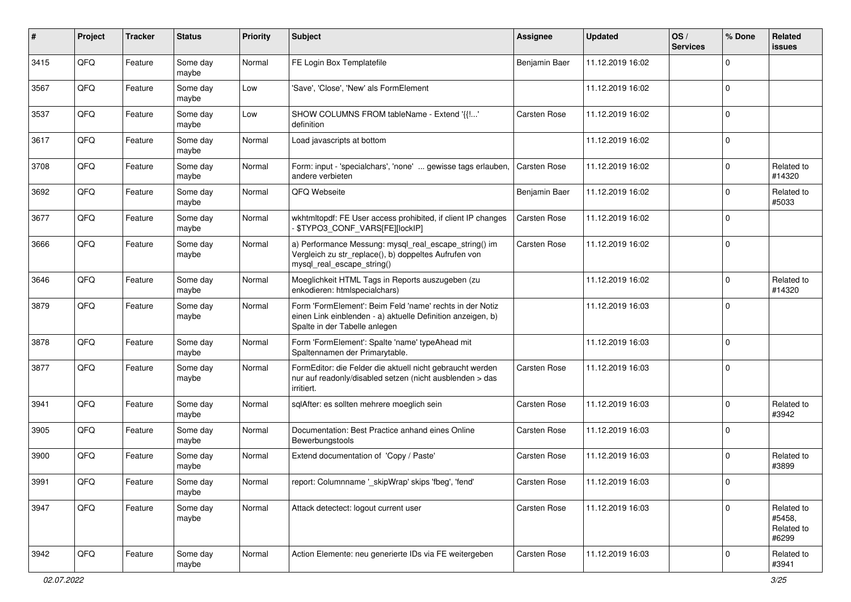| #    | Project | <b>Tracker</b> | <b>Status</b>     | <b>Priority</b> | <b>Subject</b>                                                                                                                                           | <b>Assignee</b>     | <b>Updated</b>   | OS/<br><b>Services</b> | % Done       | Related<br>issues                           |
|------|---------|----------------|-------------------|-----------------|----------------------------------------------------------------------------------------------------------------------------------------------------------|---------------------|------------------|------------------------|--------------|---------------------------------------------|
| 3415 | QFQ     | Feature        | Some day<br>maybe | Normal          | FE Login Box Templatefile                                                                                                                                | Benjamin Baer       | 11.12.2019 16:02 |                        | $\Omega$     |                                             |
| 3567 | QFQ     | Feature        | Some day<br>maybe | Low             | 'Save', 'Close', 'New' als FormElement                                                                                                                   |                     | 11.12.2019 16:02 |                        | $\mathbf{0}$ |                                             |
| 3537 | QFQ     | Feature        | Some day<br>maybe | Low             | SHOW COLUMNS FROM tableName - Extend '{{!'<br>definition                                                                                                 | <b>Carsten Rose</b> | 11.12.2019 16:02 |                        | $\mathbf{0}$ |                                             |
| 3617 | QFQ     | Feature        | Some day<br>maybe | Normal          | Load javascripts at bottom                                                                                                                               |                     | 11.12.2019 16:02 |                        | $\mathbf{0}$ |                                             |
| 3708 | QFQ     | Feature        | Some day<br>maybe | Normal          | Form: input - 'specialchars', 'none'  gewisse tags erlauben,<br>andere verbieten                                                                         | Carsten Rose        | 11.12.2019 16:02 |                        | $\mathbf{0}$ | Related to<br>#14320                        |
| 3692 | QFQ     | Feature        | Some day<br>maybe | Normal          | QFQ Webseite                                                                                                                                             | Benjamin Baer       | 11.12.2019 16:02 |                        | $\mathbf{0}$ | Related to<br>#5033                         |
| 3677 | QFQ     | Feature        | Some day<br>maybe | Normal          | wkhtmltopdf: FE User access prohibited, if client IP changes<br>\$TYPO3_CONF_VARS[FE][lockIP]                                                            | Carsten Rose        | 11.12.2019 16:02 |                        | $\mathbf{0}$ |                                             |
| 3666 | QFQ     | Feature        | Some day<br>maybe | Normal          | a) Performance Messung: mysql_real_escape_string() im<br>Vergleich zu str_replace(), b) doppeltes Aufrufen von<br>mysql_real_escape_string()             | <b>Carsten Rose</b> | 11.12.2019 16:02 |                        | $\mathbf 0$  |                                             |
| 3646 | QFQ     | Feature        | Some day<br>maybe | Normal          | Moeglichkeit HTML Tags in Reports auszugeben (zu<br>enkodieren: htmlspecialchars)                                                                        |                     | 11.12.2019 16:02 |                        | $\mathbf{0}$ | Related to<br>#14320                        |
| 3879 | QFQ     | Feature        | Some day<br>maybe | Normal          | Form 'FormElement': Beim Feld 'name' rechts in der Notiz<br>einen Link einblenden - a) aktuelle Definition anzeigen, b)<br>Spalte in der Tabelle anlegen |                     | 11.12.2019 16:03 |                        | l 0          |                                             |
| 3878 | QFQ     | Feature        | Some day<br>maybe | Normal          | Form 'FormElement': Spalte 'name' typeAhead mit<br>Spaltennamen der Primarytable.                                                                        |                     | 11.12.2019 16:03 |                        | l 0          |                                             |
| 3877 | QFQ     | Feature        | Some day<br>maybe | Normal          | FormEditor: die Felder die aktuell nicht gebraucht werden<br>nur auf readonly/disabled setzen (nicht ausblenden > das<br>irritiert.                      | <b>Carsten Rose</b> | 11.12.2019 16:03 |                        | $\Omega$     |                                             |
| 3941 | QFQ     | Feature        | Some day<br>maybe | Normal          | sqlAfter: es sollten mehrere moeglich sein                                                                                                               | <b>Carsten Rose</b> | 11.12.2019 16:03 |                        | $\mathbf{0}$ | Related to<br>#3942                         |
| 3905 | QFQ     | Feature        | Some day<br>maybe | Normal          | Documentation: Best Practice anhand eines Online<br>Bewerbungstools                                                                                      | <b>Carsten Rose</b> | 11.12.2019 16:03 |                        | $\Omega$     |                                             |
| 3900 | QFQ     | Feature        | Some day<br>maybe | Normal          | Extend documentation of 'Copy / Paste'                                                                                                                   | <b>Carsten Rose</b> | 11.12.2019 16:03 |                        | $\mathbf{0}$ | Related to<br>#3899                         |
| 3991 | QFQ     | Feature        | Some day<br>maybe | Normal          | report: Columnname '_skipWrap' skips 'fbeg', 'fend'                                                                                                      | Carsten Rose        | 11.12.2019 16:03 |                        | 0            |                                             |
| 3947 | QFQ     | Feature        | Some day<br>maybe | Normal          | Attack detectect: logout current user                                                                                                                    | Carsten Rose        | 11.12.2019 16:03 |                        | $\mathbf{0}$ | Related to<br>#5458,<br>Related to<br>#6299 |
| 3942 | QFQ     | Feature        | Some day<br>maybe | Normal          | Action Elemente: neu generierte IDs via FE weitergeben                                                                                                   | Carsten Rose        | 11.12.2019 16:03 |                        | 0            | Related to<br>#3941                         |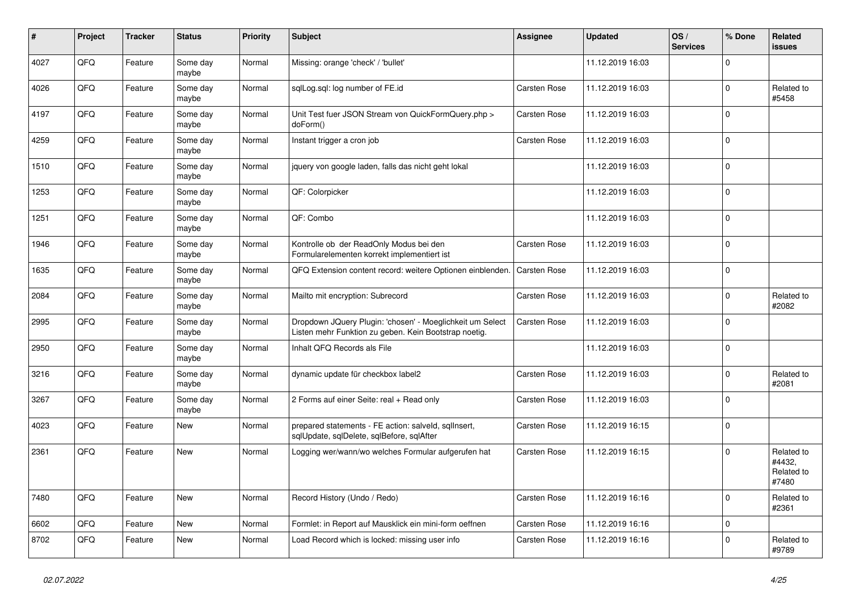| #    | Project | <b>Tracker</b> | <b>Status</b>     | <b>Priority</b> | <b>Subject</b>                                                                                                     | <b>Assignee</b>     | <b>Updated</b>   | OS/<br><b>Services</b> | % Done       | Related<br><b>issues</b>                    |
|------|---------|----------------|-------------------|-----------------|--------------------------------------------------------------------------------------------------------------------|---------------------|------------------|------------------------|--------------|---------------------------------------------|
| 4027 | QFQ     | Feature        | Some day<br>maybe | Normal          | Missing: orange 'check' / 'bullet'                                                                                 |                     | 11.12.2019 16:03 |                        | $\Omega$     |                                             |
| 4026 | QFQ     | Feature        | Some day<br>maybe | Normal          | sqlLog.sql: log number of FE.id                                                                                    | <b>Carsten Rose</b> | 11.12.2019 16:03 |                        | $\Omega$     | Related to<br>#5458                         |
| 4197 | QFQ     | Feature        | Some day<br>maybe | Normal          | Unit Test fuer JSON Stream von QuickFormQuery.php ><br>doForm()                                                    | <b>Carsten Rose</b> | 11.12.2019 16:03 |                        | $\Omega$     |                                             |
| 4259 | QFQ     | Feature        | Some day<br>maybe | Normal          | Instant trigger a cron job                                                                                         | <b>Carsten Rose</b> | 11.12.2019 16:03 |                        | $\mathbf 0$  |                                             |
| 1510 | QFQ     | Feature        | Some day<br>maybe | Normal          | jquery von google laden, falls das nicht geht lokal                                                                |                     | 11.12.2019 16:03 |                        | $\mathbf{0}$ |                                             |
| 1253 | QFQ     | Feature        | Some day<br>maybe | Normal          | QF: Colorpicker                                                                                                    |                     | 11.12.2019 16:03 |                        | $\Omega$     |                                             |
| 1251 | QFQ     | Feature        | Some day<br>maybe | Normal          | OF: Combo                                                                                                          |                     | 11.12.2019 16:03 |                        | $\Omega$     |                                             |
| 1946 | QFQ     | Feature        | Some day<br>maybe | Normal          | Kontrolle ob der ReadOnly Modus bei den<br>Formularelementen korrekt implementiert ist                             | <b>Carsten Rose</b> | 11.12.2019 16:03 |                        | $\Omega$     |                                             |
| 1635 | QFQ     | Feature        | Some day<br>maybe | Normal          | QFQ Extension content record: weitere Optionen einblenden.                                                         | <b>Carsten Rose</b> | 11.12.2019 16:03 |                        | $\Omega$     |                                             |
| 2084 | QFQ     | Feature        | Some day<br>maybe | Normal          | Mailto mit encryption: Subrecord                                                                                   | <b>Carsten Rose</b> | 11.12.2019 16:03 |                        | $\Omega$     | Related to<br>#2082                         |
| 2995 | QFQ     | Feature        | Some day<br>maybe | Normal          | Dropdown JQuery Plugin: 'chosen' - Moeglichkeit um Select<br>Listen mehr Funktion zu geben. Kein Bootstrap noetig. | <b>Carsten Rose</b> | 11.12.2019 16:03 |                        | $\Omega$     |                                             |
| 2950 | QFQ     | Feature        | Some day<br>maybe | Normal          | Inhalt QFQ Records als File                                                                                        |                     | 11.12.2019 16:03 |                        | $\Omega$     |                                             |
| 3216 | QFQ     | Feature        | Some day<br>maybe | Normal          | dynamic update für checkbox label2                                                                                 | <b>Carsten Rose</b> | 11.12.2019 16:03 |                        | $\Omega$     | Related to<br>#2081                         |
| 3267 | QFQ     | Feature        | Some day<br>maybe | Normal          | 2 Forms auf einer Seite: real + Read only                                                                          | <b>Carsten Rose</b> | 11.12.2019 16:03 |                        | $\Omega$     |                                             |
| 4023 | QFQ     | Feature        | New               | Normal          | prepared statements - FE action: salveld, sgllnsert,<br>sqlUpdate, sqlDelete, sqlBefore, sqlAfter                  | <b>Carsten Rose</b> | 11.12.2019 16:15 |                        | $\Omega$     |                                             |
| 2361 | QFQ     | Feature        | New               | Normal          | Logging wer/wann/wo welches Formular aufgerufen hat                                                                | <b>Carsten Rose</b> | 11.12.2019 16:15 |                        | $\Omega$     | Related to<br>#4432.<br>Related to<br>#7480 |
| 7480 | QFQ     | Feature        | New               | Normal          | Record History (Undo / Redo)                                                                                       | <b>Carsten Rose</b> | 11.12.2019 16:16 |                        | $\mathbf 0$  | Related to<br>#2361                         |
| 6602 | QFQ     | Feature        | New               | Normal          | Formlet: in Report auf Mausklick ein mini-form oeffnen                                                             | Carsten Rose        | 11.12.2019 16:16 |                        | $\mathbf 0$  |                                             |
| 8702 | QFQ     | Feature        | <b>New</b>        | Normal          | Load Record which is locked: missing user info                                                                     | <b>Carsten Rose</b> | 11.12.2019 16:16 |                        | $\Omega$     | Related to<br>#9789                         |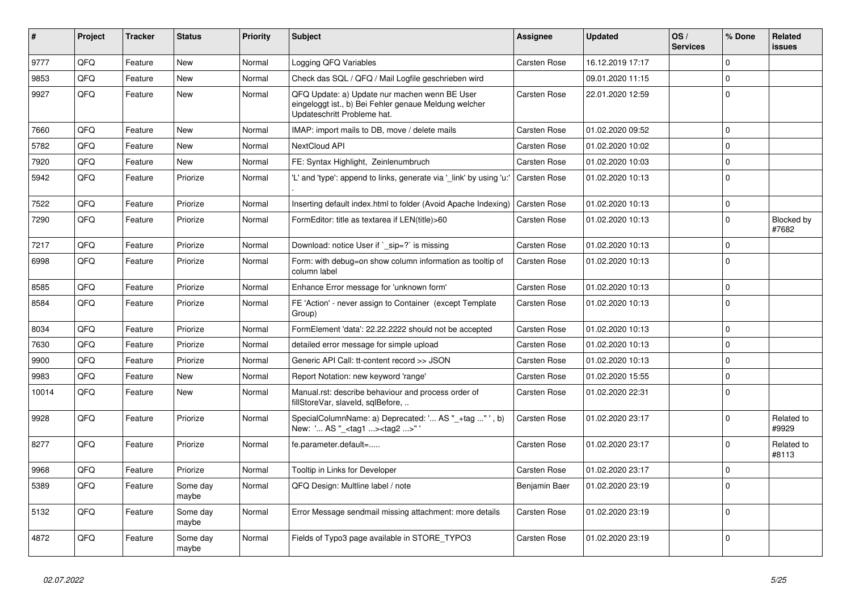| ∥#    | Project | <b>Tracker</b> | <b>Status</b>     | Priority | <b>Subject</b>                                                                                                                        | Assignee            | <b>Updated</b>   | OS/<br><b>Services</b> | % Done      | Related<br><b>issues</b> |
|-------|---------|----------------|-------------------|----------|---------------------------------------------------------------------------------------------------------------------------------------|---------------------|------------------|------------------------|-------------|--------------------------|
| 9777  | QFQ     | Feature        | <b>New</b>        | Normal   | Logging QFQ Variables                                                                                                                 | <b>Carsten Rose</b> | 16.12.2019 17:17 |                        | $\mathbf 0$ |                          |
| 9853  | QFQ     | Feature        | New               | Normal   | Check das SQL / QFQ / Mail Logfile geschrieben wird                                                                                   |                     | 09.01.2020 11:15 |                        | $\Omega$    |                          |
| 9927  | QFQ     | Feature        | <b>New</b>        | Normal   | QFQ Update: a) Update nur machen wenn BE User<br>eingeloggt ist., b) Bei Fehler genaue Meldung welcher<br>Updateschritt Probleme hat. | Carsten Rose        | 22.01.2020 12:59 |                        | $\Omega$    |                          |
| 7660  | QFQ     | Feature        | New               | Normal   | IMAP: import mails to DB, move / delete mails                                                                                         | <b>Carsten Rose</b> | 01.02.2020 09:52 |                        | $\Omega$    |                          |
| 5782  | QFQ     | Feature        | <b>New</b>        | Normal   | NextCloud API                                                                                                                         | Carsten Rose        | 01.02.2020 10:02 |                        | $\Omega$    |                          |
| 7920  | QFQ     | Feature        | New               | Normal   | FE: Syntax Highlight, Zeinlenumbruch                                                                                                  | Carsten Rose        | 01.02.2020 10:03 |                        | $\Omega$    |                          |
| 5942  | QFQ     | Feature        | Priorize          | Normal   | 'L' and 'type': append to links, generate via ' link' by using 'u:'                                                                   | <b>Carsten Rose</b> | 01.02.2020 10:13 |                        | $\Omega$    |                          |
| 7522  | QFQ     | Feature        | Priorize          | Normal   | Inserting default index.html to folder (Avoid Apache Indexing)                                                                        | Carsten Rose        | 01.02.2020 10:13 |                        | $\Omega$    |                          |
| 7290  | QFQ     | Feature        | Priorize          | Normal   | FormEditor: title as textarea if LEN(title)>60                                                                                        | Carsten Rose        | 01.02.2020 10:13 |                        | $\Omega$    | Blocked by<br>#7682      |
| 7217  | QFQ     | Feature        | Priorize          | Normal   | Download: notice User if $\degree$ sip=? is missing                                                                                   | <b>Carsten Rose</b> | 01.02.2020 10:13 |                        | $\mathbf 0$ |                          |
| 6998  | QFQ     | Feature        | Priorize          | Normal   | Form: with debug=on show column information as tooltip of<br>column label                                                             | Carsten Rose        | 01.02.2020 10:13 |                        | $\Omega$    |                          |
| 8585  | QFQ     | Feature        | Priorize          | Normal   | Enhance Error message for 'unknown form'                                                                                              | <b>Carsten Rose</b> | 01.02.2020 10:13 |                        | $\Omega$    |                          |
| 8584  | QFQ     | Feature        | Priorize          | Normal   | FE 'Action' - never assign to Container (except Template)<br>Group)                                                                   | Carsten Rose        | 01.02.2020 10:13 |                        | $\Omega$    |                          |
| 8034  | QFQ     | Feature        | Priorize          | Normal   | FormElement 'data': 22.22.2222 should not be accepted                                                                                 | <b>Carsten Rose</b> | 01.02.2020 10:13 |                        | $\mathbf 0$ |                          |
| 7630  | QFQ     | Feature        | Priorize          | Normal   | detailed error message for simple upload                                                                                              | Carsten Rose        | 01.02.2020 10:13 |                        | $\Omega$    |                          |
| 9900  | QFQ     | Feature        | Priorize          | Normal   | Generic API Call: tt-content record >> JSON                                                                                           | Carsten Rose        | 01.02.2020 10:13 |                        | $\Omega$    |                          |
| 9983  | QFQ     | Feature        | New               | Normal   | Report Notation: new keyword 'range'                                                                                                  | <b>Carsten Rose</b> | 01.02.2020 15:55 |                        | $\mathbf 0$ |                          |
| 10014 | QFQ     | Feature        | New               | Normal   | Manual.rst: describe behaviour and process order of<br>fillStoreVar, slaveId, sqlBefore,                                              | Carsten Rose        | 01.02.2020 22:31 |                        | $\mathbf 0$ |                          |
| 9928  | QFQ     | Feature        | Priorize          | Normal   | SpecialColumnName: a) Deprecated: ' AS "_+tag "', b)<br>New: ' AS "_ <tag1><tag2>"</tag2></tag1>                                      | Carsten Rose        | 01.02.2020 23:17 |                        | $\Omega$    | Related to<br>#9929      |
| 8277  | QFQ     | Feature        | Priorize          | Normal   | fe.parameter.default=                                                                                                                 | Carsten Rose        | 01.02.2020 23:17 |                        | $\Omega$    | Related to<br>#8113      |
| 9968  | QFQ     | Feature        | Priorize          | Normal   | Tooltip in Links for Developer                                                                                                        | <b>Carsten Rose</b> | 01.02.2020 23:17 |                        | $\Omega$    |                          |
| 5389  | QFQ     | Feature        | Some day<br>maybe | Normal   | QFQ Design: Multline label / note                                                                                                     | Benjamin Baer       | 01.02.2020 23:19 |                        | $\Omega$    |                          |
| 5132  | QFQ     | Feature        | Some day<br>maybe | Normal   | Error Message sendmail missing attachment: more details                                                                               | Carsten Rose        | 01.02.2020 23:19 |                        | $\mathbf 0$ |                          |
| 4872  | QFQ     | Feature        | Some day<br>maybe | Normal   | Fields of Typo3 page available in STORE_TYPO3                                                                                         | Carsten Rose        | 01.02.2020 23:19 |                        | $\Omega$    |                          |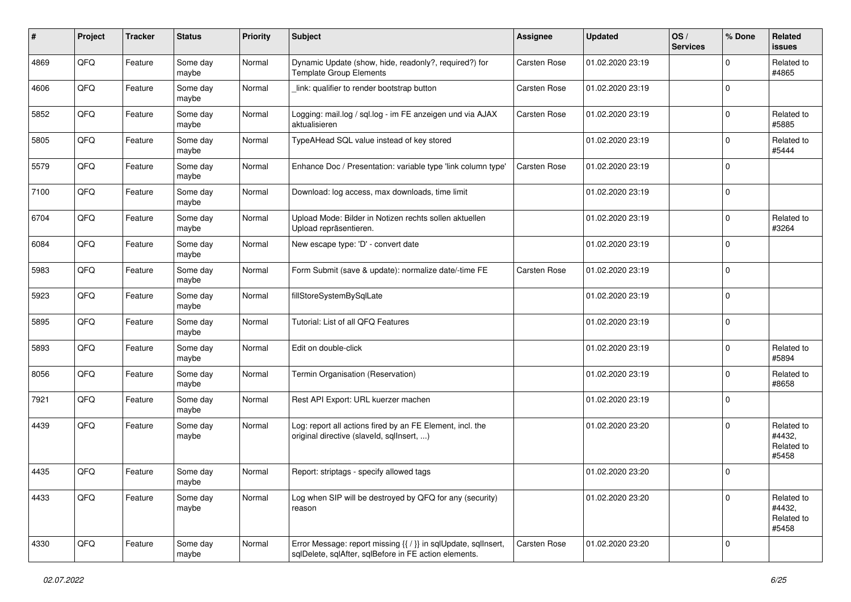| $\sharp$ | Project | <b>Tracker</b> | <b>Status</b>     | <b>Priority</b> | <b>Subject</b>                                                                                                          | Assignee            | <b>Updated</b>   | OS/<br><b>Services</b> | % Done       | Related<br><b>issues</b>                    |
|----------|---------|----------------|-------------------|-----------------|-------------------------------------------------------------------------------------------------------------------------|---------------------|------------------|------------------------|--------------|---------------------------------------------|
| 4869     | QFQ     | Feature        | Some day<br>maybe | Normal          | Dynamic Update (show, hide, readonly?, required?) for<br><b>Template Group Elements</b>                                 | Carsten Rose        | 01.02.2020 23:19 |                        | $\Omega$     | Related to<br>#4865                         |
| 4606     | QFQ     | Feature        | Some day<br>maybe | Normal          | link: qualifier to render bootstrap button                                                                              | <b>Carsten Rose</b> | 01.02.2020 23:19 |                        | l 0          |                                             |
| 5852     | QFQ     | Feature        | Some day<br>maybe | Normal          | Logging: mail.log / sql.log - im FE anzeigen und via AJAX<br>aktualisieren                                              | <b>Carsten Rose</b> | 01.02.2020 23:19 |                        | $\Omega$     | Related to<br>#5885                         |
| 5805     | QFQ     | Feature        | Some day<br>maybe | Normal          | TypeAHead SQL value instead of key stored                                                                               |                     | 01.02.2020 23:19 |                        | $\mathbf 0$  | Related to<br>#5444                         |
| 5579     | QFQ     | Feature        | Some day<br>maybe | Normal          | Enhance Doc / Presentation: variable type 'link column type'                                                            | <b>Carsten Rose</b> | 01.02.2020 23:19 |                        | $\mathbf 0$  |                                             |
| 7100     | QFQ     | Feature        | Some day<br>maybe | Normal          | Download: log access, max downloads, time limit                                                                         |                     | 01.02.2020 23:19 |                        | $\Omega$     |                                             |
| 6704     | QFQ     | Feature        | Some day<br>maybe | Normal          | Upload Mode: Bilder in Notizen rechts sollen aktuellen<br>Upload repräsentieren.                                        |                     | 01.02.2020 23:19 |                        | $\mathbf 0$  | Related to<br>#3264                         |
| 6084     | QFQ     | Feature        | Some day<br>maybe | Normal          | New escape type: 'D' - convert date                                                                                     |                     | 01.02.2020 23:19 |                        | $\mathbf{0}$ |                                             |
| 5983     | QFQ     | Feature        | Some day<br>maybe | Normal          | Form Submit (save & update): normalize date/-time FE                                                                    | <b>Carsten Rose</b> | 01.02.2020 23:19 |                        | l 0          |                                             |
| 5923     | QFQ     | Feature        | Some day<br>maybe | Normal          | fillStoreSystemBySqlLate                                                                                                |                     | 01.02.2020 23:19 |                        | $\mathbf{0}$ |                                             |
| 5895     | QFQ     | Feature        | Some day<br>maybe | Normal          | Tutorial: List of all QFQ Features                                                                                      |                     | 01.02.2020 23:19 |                        | l 0          |                                             |
| 5893     | QFQ     | Feature        | Some day<br>maybe | Normal          | Edit on double-click                                                                                                    |                     | 01.02.2020 23:19 |                        | $\mathbf 0$  | Related to<br>#5894                         |
| 8056     | QFQ     | Feature        | Some day<br>maybe | Normal          | Termin Organisation (Reservation)                                                                                       |                     | 01.02.2020 23:19 |                        | $\mathbf{0}$ | Related to<br>#8658                         |
| 7921     | QFQ     | Feature        | Some day<br>maybe | Normal          | Rest API Export: URL kuerzer machen                                                                                     |                     | 01.02.2020 23:19 |                        | $\mathbf{0}$ |                                             |
| 4439     | QFQ     | Feature        | Some day<br>maybe | Normal          | Log: report all actions fired by an FE Element, incl. the<br>original directive (slaveld, sqllnsert, )                  |                     | 01.02.2020 23:20 |                        | $\mathbf{0}$ | Related to<br>#4432,<br>Related to<br>#5458 |
| 4435     | QFQ     | Feature        | Some day<br>maybe | Normal          | Report: striptags - specify allowed tags                                                                                |                     | 01.02.2020 23:20 |                        | $\mathbf{0}$ |                                             |
| 4433     | QFQ     | Feature        | Some day<br>maybe | Normal          | Log when SIP will be destroyed by QFQ for any (security)<br>reason                                                      |                     | 01.02.2020 23:20 |                        | $\mathbf{0}$ | Related to<br>#4432,<br>Related to<br>#5458 |
| 4330     | QFQ     | Feature        | Some day<br>maybe | Normal          | Error Message: report missing {{ / }} in sqlUpdate, sqlInsert,<br>sqlDelete, sqlAfter, sqlBefore in FE action elements. | <b>Carsten Rose</b> | 01.02.2020 23:20 |                        | $\mathbf 0$  |                                             |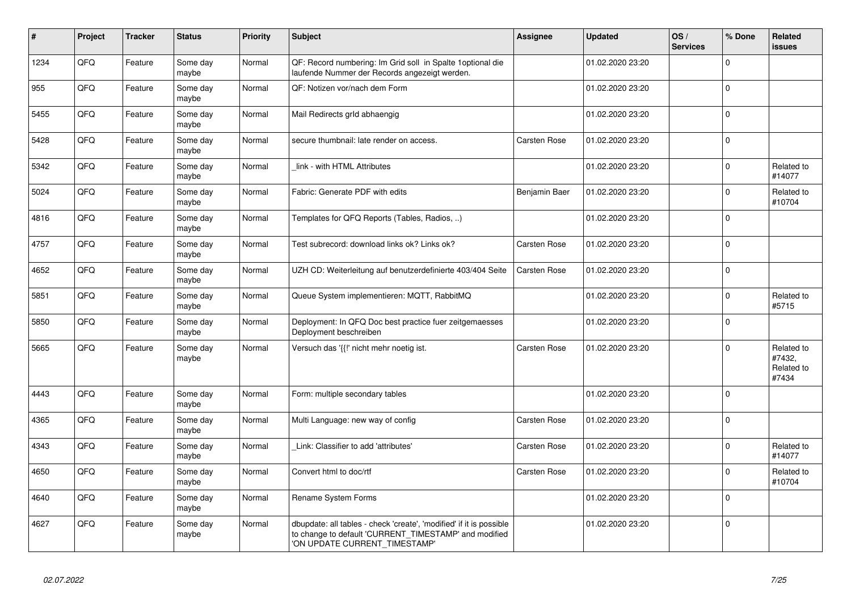| #    | Project | <b>Tracker</b> | <b>Status</b>     | <b>Priority</b> | <b>Subject</b>                                                                                                                                                | Assignee            | <b>Updated</b>   | OS/<br><b>Services</b> | % Done       | Related<br>issues                           |
|------|---------|----------------|-------------------|-----------------|---------------------------------------------------------------------------------------------------------------------------------------------------------------|---------------------|------------------|------------------------|--------------|---------------------------------------------|
| 1234 | QFQ     | Feature        | Some day<br>maybe | Normal          | QF: Record numbering: Im Grid soll in Spalte 1 optional die<br>laufende Nummer der Records angezeigt werden.                                                  |                     | 01.02.2020 23:20 |                        | $\Omega$     |                                             |
| 955  | QFQ     | Feature        | Some day<br>maybe | Normal          | QF: Notizen vor/nach dem Form                                                                                                                                 |                     | 01.02.2020 23:20 |                        | $\Omega$     |                                             |
| 5455 | QFQ     | Feature        | Some day<br>maybe | Normal          | Mail Redirects grld abhaengig                                                                                                                                 |                     | 01.02.2020 23:20 |                        | $\Omega$     |                                             |
| 5428 | QFQ     | Feature        | Some day<br>maybe | Normal          | secure thumbnail: late render on access.                                                                                                                      | Carsten Rose        | 01.02.2020 23:20 |                        | $\Omega$     |                                             |
| 5342 | QFQ     | Feature        | Some day<br>maybe | Normal          | link - with HTML Attributes                                                                                                                                   |                     | 01.02.2020 23:20 |                        | $\Omega$     | Related to<br>#14077                        |
| 5024 | QFQ     | Feature        | Some day<br>maybe | Normal          | Fabric: Generate PDF with edits                                                                                                                               | Benjamin Baer       | 01.02.2020 23:20 |                        | $\Omega$     | Related to<br>#10704                        |
| 4816 | QFQ     | Feature        | Some day<br>maybe | Normal          | Templates for QFQ Reports (Tables, Radios, )                                                                                                                  |                     | 01.02.2020 23:20 |                        | $\Omega$     |                                             |
| 4757 | QFQ     | Feature        | Some day<br>maybe | Normal          | Test subrecord: download links ok? Links ok?                                                                                                                  | Carsten Rose        | 01.02.2020 23:20 |                        | $\Omega$     |                                             |
| 4652 | QFQ     | Feature        | Some day<br>maybe | Normal          | UZH CD: Weiterleitung auf benutzerdefinierte 403/404 Seite                                                                                                    | <b>Carsten Rose</b> | 01.02.2020 23:20 |                        | $\Omega$     |                                             |
| 5851 | QFQ     | Feature        | Some day<br>maybe | Normal          | Queue System implementieren: MQTT, RabbitMQ                                                                                                                   |                     | 01.02.2020 23:20 |                        | $\Omega$     | Related to<br>#5715                         |
| 5850 | QFQ     | Feature        | Some day<br>maybe | Normal          | Deployment: In QFQ Doc best practice fuer zeitgemaesses<br>Deployment beschreiben                                                                             |                     | 01.02.2020 23:20 |                        | $\Omega$     |                                             |
| 5665 | QFQ     | Feature        | Some day<br>maybe | Normal          | Versuch das '{{!' nicht mehr noetig ist.                                                                                                                      | <b>Carsten Rose</b> | 01.02.2020 23:20 |                        | $\mathbf{0}$ | Related to<br>#7432,<br>Related to<br>#7434 |
| 4443 | QFQ     | Feature        | Some day<br>maybe | Normal          | Form: multiple secondary tables                                                                                                                               |                     | 01.02.2020 23:20 |                        | $\Omega$     |                                             |
| 4365 | QFQ     | Feature        | Some day<br>maybe | Normal          | Multi Language: new way of config                                                                                                                             | <b>Carsten Rose</b> | 01.02.2020 23:20 |                        | $\Omega$     |                                             |
| 4343 | QFQ     | Feature        | Some day<br>maybe | Normal          | Link: Classifier to add 'attributes'                                                                                                                          | <b>Carsten Rose</b> | 01.02.2020 23:20 |                        | $\Omega$     | Related to<br>#14077                        |
| 4650 | QFQ     | Feature        | Some day<br>maybe | Normal          | Convert html to doc/rtf                                                                                                                                       | <b>Carsten Rose</b> | 01.02.2020 23:20 |                        | $\mathbf{0}$ | Related to<br>#10704                        |
| 4640 | QFQ     | Feature        | Some day<br>maybe | Normal          | Rename System Forms                                                                                                                                           |                     | 01.02.2020 23:20 |                        | $\Omega$     |                                             |
| 4627 | QFQ     | Feature        | Some day<br>maybe | Normal          | dbupdate: all tables - check 'create', 'modified' if it is possible<br>to change to default 'CURRENT_TIMESTAMP' and modified<br>'ON UPDATE CURRENT_TIMESTAMP' |                     | 01.02.2020 23:20 |                        | $\mathbf{0}$ |                                             |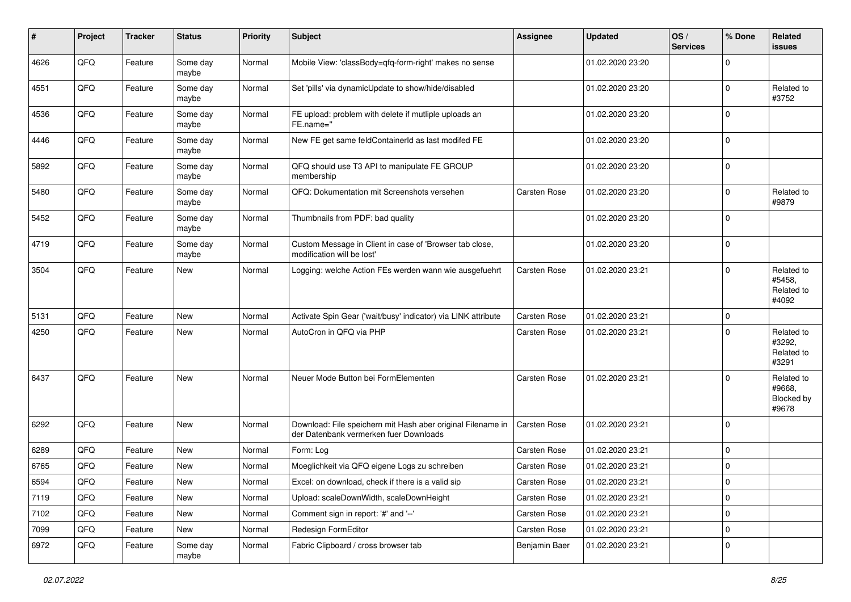| #    | Project | <b>Tracker</b> | <b>Status</b>     | <b>Priority</b> | <b>Subject</b>                                                                                        | <b>Assignee</b>     | <b>Updated</b>   | OS/<br><b>Services</b> | % Done       | Related<br>issues                           |
|------|---------|----------------|-------------------|-----------------|-------------------------------------------------------------------------------------------------------|---------------------|------------------|------------------------|--------------|---------------------------------------------|
| 4626 | QFQ     | Feature        | Some day<br>maybe | Normal          | Mobile View: 'classBody=qfq-form-right' makes no sense                                                |                     | 01.02.2020 23:20 |                        | <sup>0</sup> |                                             |
| 4551 | QFQ     | Feature        | Some day<br>maybe | Normal          | Set 'pills' via dynamicUpdate to show/hide/disabled                                                   |                     | 01.02.2020 23:20 |                        | $\Omega$     | Related to<br>#3752                         |
| 4536 | QFQ     | Feature        | Some day<br>maybe | Normal          | FE upload: problem with delete if mutliple uploads an<br>FE.name="                                    |                     | 01.02.2020 23:20 |                        | <sup>0</sup> |                                             |
| 4446 | QFQ     | Feature        | Some day<br>maybe | Normal          | New FE get same feldContainerId as last modifed FE                                                    |                     | 01.02.2020 23:20 |                        | $\mathbf 0$  |                                             |
| 5892 | QFQ     | Feature        | Some day<br>maybe | Normal          | QFQ should use T3 API to manipulate FE GROUP<br>membership                                            |                     | 01.02.2020 23:20 |                        | $\mathbf 0$  |                                             |
| 5480 | QFQ     | Feature        | Some day<br>maybe | Normal          | QFQ: Dokumentation mit Screenshots versehen                                                           | <b>Carsten Rose</b> | 01.02.2020 23:20 |                        | $\Omega$     | Related to<br>#9879                         |
| 5452 | QFQ     | Feature        | Some day<br>maybe | Normal          | Thumbnails from PDF: bad quality                                                                      |                     | 01.02.2020 23:20 |                        | 0            |                                             |
| 4719 | QFQ     | Feature        | Some day<br>maybe | Normal          | Custom Message in Client in case of 'Browser tab close,<br>modification will be lost'                 |                     | 01.02.2020 23:20 |                        | $\Omega$     |                                             |
| 3504 | QFQ     | Feature        | New               | Normal          | Logging: welche Action FEs werden wann wie ausgefuehrt                                                | <b>Carsten Rose</b> | 01.02.2020 23:21 |                        | $\Omega$     | Related to<br>#5458,<br>Related to<br>#4092 |
| 5131 | QFQ     | Feature        | New               | Normal          | Activate Spin Gear ('wait/busy' indicator) via LINK attribute                                         | <b>Carsten Rose</b> | 01.02.2020 23:21 |                        | $\Omega$     |                                             |
| 4250 | QFQ     | Feature        | New               | Normal          | AutoCron in QFQ via PHP                                                                               | <b>Carsten Rose</b> | 01.02.2020 23:21 |                        | O            | Related to<br>#3292,<br>Related to<br>#3291 |
| 6437 | QFQ     | Feature        | New               | Normal          | Neuer Mode Button bei FormElementen                                                                   | <b>Carsten Rose</b> | 01.02.2020 23:21 |                        | 0            | Related to<br>#9668,<br>Blocked by<br>#9678 |
| 6292 | QFQ     | Feature        | New               | Normal          | Download: File speichern mit Hash aber original Filename in<br>der Datenbank vermerken fuer Downloads | <b>Carsten Rose</b> | 01.02.2020 23:21 |                        | $\Omega$     |                                             |
| 6289 | QFQ     | Feature        | <b>New</b>        | Normal          | Form: Log                                                                                             | <b>Carsten Rose</b> | 01.02.2020 23:21 |                        | 0            |                                             |
| 6765 | QFQ     | Feature        | New               | Normal          | Moeglichkeit via QFQ eigene Logs zu schreiben                                                         | <b>Carsten Rose</b> | 01.02.2020 23:21 |                        | $\Omega$     |                                             |
| 6594 | QFG     | Feature        | New               | Normal          | Excel: on download, check if there is a valid sip                                                     | Carsten Rose        | 01.02.2020 23:21 |                        | 0            |                                             |
| 7119 | QFQ     | Feature        | New               | Normal          | Upload: scaleDownWidth, scaleDownHeight                                                               | Carsten Rose        | 01.02.2020 23:21 |                        | $\mathbf 0$  |                                             |
| 7102 | QFQ     | Feature        | New               | Normal          | Comment sign in report: '#' and '--'                                                                  | Carsten Rose        | 01.02.2020 23:21 |                        | $\mathbf 0$  |                                             |
| 7099 | QFQ     | Feature        | New               | Normal          | Redesign FormEditor                                                                                   | Carsten Rose        | 01.02.2020 23:21 |                        | 0            |                                             |
| 6972 | QFQ     | Feature        | Some day<br>maybe | Normal          | Fabric Clipboard / cross browser tab                                                                  | Benjamin Baer       | 01.02.2020 23:21 |                        | 0            |                                             |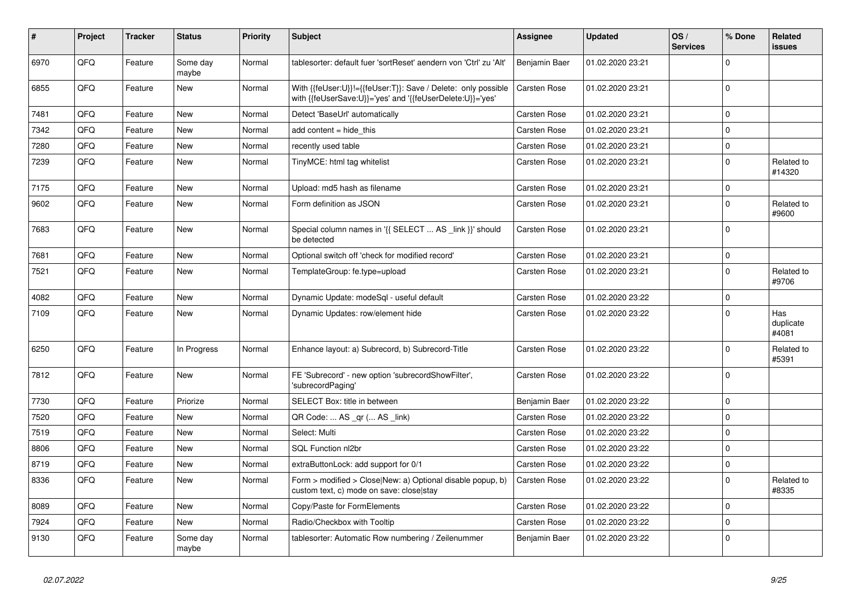| #    | Project | <b>Tracker</b> | <b>Status</b>     | Priority | <b>Subject</b>                                                                                                             | <b>Assignee</b>     | <b>Updated</b>   | OS/<br><b>Services</b> | % Done       | Related<br><b>issues</b>  |
|------|---------|----------------|-------------------|----------|----------------------------------------------------------------------------------------------------------------------------|---------------------|------------------|------------------------|--------------|---------------------------|
| 6970 | QFQ     | Feature        | Some day<br>maybe | Normal   | tablesorter: default fuer 'sortReset' aendern von 'Ctrl' zu 'Alt'                                                          | Benjamin Baer       | 01.02.2020 23:21 |                        | $\Omega$     |                           |
| 6855 | QFQ     | Feature        | New               | Normal   | With {{feUser:U}}!={{feUser:T}}: Save / Delete: only possible<br>with {{feUserSave:U}}='yes' and '{{feUserDelete:U}}='yes' | <b>Carsten Rose</b> | 01.02.2020 23:21 |                        | $\Omega$     |                           |
| 7481 | QFQ     | Feature        | <b>New</b>        | Normal   | Detect 'BaseUrl' automatically                                                                                             | <b>Carsten Rose</b> | 01.02.2020 23:21 |                        | $\mathbf 0$  |                           |
| 7342 | QFQ     | Feature        | New               | Normal   | add content = hide this                                                                                                    | <b>Carsten Rose</b> | 01.02.2020 23:21 |                        | $\mathbf 0$  |                           |
| 7280 | QFQ     | Feature        | New               | Normal   | recently used table                                                                                                        | <b>Carsten Rose</b> | 01.02.2020 23:21 |                        | $\mathbf 0$  |                           |
| 7239 | QFQ     | Feature        | New               | Normal   | TinyMCE: html tag whitelist                                                                                                | Carsten Rose        | 01.02.2020 23:21 |                        | $\Omega$     | Related to<br>#14320      |
| 7175 | QFQ     | Feature        | <b>New</b>        | Normal   | Upload: md5 hash as filename                                                                                               | <b>Carsten Rose</b> | 01.02.2020 23:21 |                        | $\Omega$     |                           |
| 9602 | QFQ     | Feature        | <b>New</b>        | Normal   | Form definition as JSON                                                                                                    | <b>Carsten Rose</b> | 01.02.2020 23:21 |                        | $\Omega$     | Related to<br>#9600       |
| 7683 | QFQ     | Feature        | <b>New</b>        | Normal   | Special column names in '{{ SELECT  AS link }}' should<br>be detected                                                      | Carsten Rose        | 01.02.2020 23:21 |                        | $\Omega$     |                           |
| 7681 | QFQ     | Feature        | New               | Normal   | Optional switch off 'check for modified record'                                                                            | <b>Carsten Rose</b> | 01.02.2020 23:21 |                        | $\mathbf 0$  |                           |
| 7521 | QFQ     | Feature        | New               | Normal   | TemplateGroup: fe.type=upload                                                                                              | <b>Carsten Rose</b> | 01.02.2020 23:21 |                        | $\mathbf 0$  | Related to<br>#9706       |
| 4082 | QFQ     | Feature        | <b>New</b>        | Normal   | Dynamic Update: modeSql - useful default                                                                                   | Carsten Rose        | 01.02.2020 23:22 |                        | $\Omega$     |                           |
| 7109 | QFQ     | Feature        | New               | Normal   | Dynamic Updates: row/element hide                                                                                          | Carsten Rose        | 01.02.2020 23:22 |                        | $\Omega$     | Has<br>duplicate<br>#4081 |
| 6250 | QFQ     | Feature        | In Progress       | Normal   | Enhance layout: a) Subrecord, b) Subrecord-Title                                                                           | <b>Carsten Rose</b> | 01.02.2020 23:22 |                        | $\Omega$     | Related to<br>#5391       |
| 7812 | QFQ     | Feature        | <b>New</b>        | Normal   | FE 'Subrecord' - new option 'subrecordShowFilter',<br>'subrecordPaging'                                                    | <b>Carsten Rose</b> | 01.02.2020 23:22 |                        | $\Omega$     |                           |
| 7730 | QFQ     | Feature        | Priorize          | Normal   | SELECT Box: title in between                                                                                               | Benjamin Baer       | 01.02.2020 23:22 |                        | $\mathbf 0$  |                           |
| 7520 | QFQ     | Feature        | <b>New</b>        | Normal   | QR Code:  AS _qr ( AS _link)                                                                                               | Carsten Rose        | 01.02.2020 23:22 |                        | $\Omega$     |                           |
| 7519 | QFQ     | Feature        | <b>New</b>        | Normal   | Select: Multi                                                                                                              | <b>Carsten Rose</b> | 01.02.2020 23:22 |                        | $\Omega$     |                           |
| 8806 | QFQ     | Feature        | <b>New</b>        | Normal   | SQL Function nl2br                                                                                                         | <b>Carsten Rose</b> | 01.02.2020 23:22 |                        | $\mathbf 0$  |                           |
| 8719 | QFQ     | Feature        | <b>New</b>        | Normal   | extraButtonLock: add support for 0/1                                                                                       | <b>Carsten Rose</b> | 01.02.2020 23:22 |                        | $\Omega$     |                           |
| 8336 | QFQ     | Feature        | <b>New</b>        | Normal   | Form > modified > Close New: a) Optional disable popup, b)<br>custom text, c) mode on save: closelstay                     | Carsten Rose        | 01.02.2020 23:22 |                        | $\Omega$     | Related to<br>#8335       |
| 8089 | QFQ     | Feature        | <b>New</b>        | Normal   | Copy/Paste for FormElements                                                                                                | Carsten Rose        | 01.02.2020 23:22 |                        | $\mathbf{0}$ |                           |
| 7924 | QFQ     | Feature        | New               | Normal   | Radio/Checkbox with Tooltip                                                                                                | Carsten Rose        | 01.02.2020 23:22 |                        | $\mathbf 0$  |                           |
| 9130 | QFQ     | Feature        | Some day<br>maybe | Normal   | tablesorter: Automatic Row numbering / Zeilenummer                                                                         | Benjamin Baer       | 01.02.2020 23:22 |                        | $\mathbf 0$  |                           |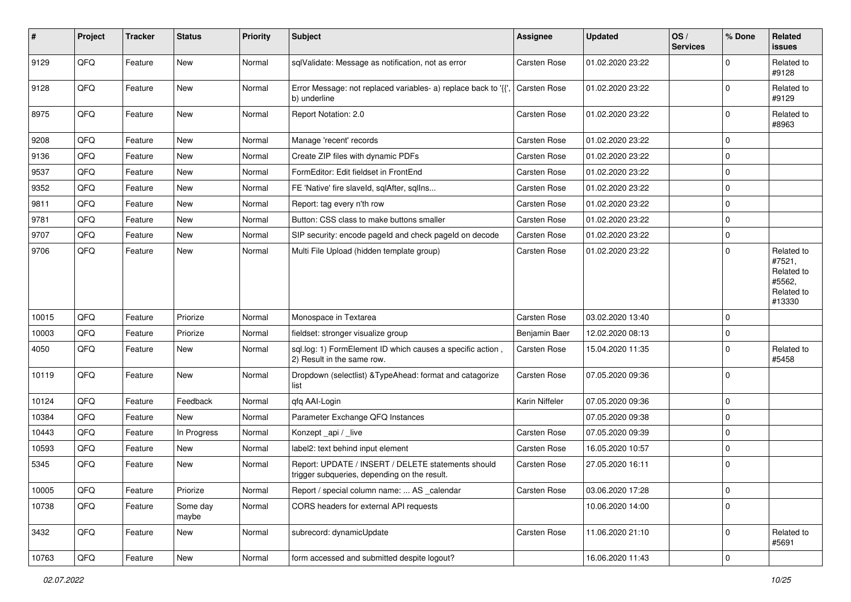| $\sharp$ | Project | <b>Tracker</b> | <b>Status</b>     | <b>Priority</b> | <b>Subject</b>                                                                                     | <b>Assignee</b>     | <b>Updated</b>   | OS/<br><b>Services</b> | % Done         | Related<br>issues                                                    |
|----------|---------|----------------|-------------------|-----------------|----------------------------------------------------------------------------------------------------|---------------------|------------------|------------------------|----------------|----------------------------------------------------------------------|
| 9129     | QFQ     | Feature        | New               | Normal          | sqlValidate: Message as notification, not as error                                                 | Carsten Rose        | 01.02.2020 23:22 |                        | $\Omega$       | Related to<br>#9128                                                  |
| 9128     | QFQ     | Feature        | New               | Normal          | Error Message: not replaced variables- a) replace back to '{{'<br>b) underline                     | <b>Carsten Rose</b> | 01.02.2020 23:22 |                        | $\mathbf 0$    | Related to<br>#9129                                                  |
| 8975     | QFQ     | Feature        | New               | Normal          | Report Notation: 2.0                                                                               | Carsten Rose        | 01.02.2020 23:22 |                        | 0              | Related to<br>#8963                                                  |
| 9208     | QFQ     | Feature        | New               | Normal          | Manage 'recent' records                                                                            | <b>Carsten Rose</b> | 01.02.2020 23:22 |                        | $\mathbf 0$    |                                                                      |
| 9136     | QFQ     | Feature        | New               | Normal          | Create ZIP files with dynamic PDFs                                                                 | Carsten Rose        | 01.02.2020 23:22 |                        | $\mathbf 0$    |                                                                      |
| 9537     | QFQ     | Feature        | New               | Normal          | FormEditor: Edit fieldset in FrontEnd                                                              | <b>Carsten Rose</b> | 01.02.2020 23:22 |                        | $\mathbf 0$    |                                                                      |
| 9352     | QFQ     | Feature        | New               | Normal          | FE 'Native' fire slaveld, sqlAfter, sqlIns                                                         | Carsten Rose        | 01.02.2020 23:22 |                        | $\mathbf 0$    |                                                                      |
| 9811     | QFQ     | Feature        | New               | Normal          | Report: tag every n'th row                                                                         | Carsten Rose        | 01.02.2020 23:22 |                        | $\mathbf 0$    |                                                                      |
| 9781     | QFQ     | Feature        | New               | Normal          | Button: CSS class to make buttons smaller                                                          | Carsten Rose        | 01.02.2020 23:22 |                        | $\mathbf 0$    |                                                                      |
| 9707     | QFQ     | Feature        | New               | Normal          | SIP security: encode pageld and check pageld on decode                                             | Carsten Rose        | 01.02.2020 23:22 |                        | $\mathbf 0$    |                                                                      |
| 9706     | QFQ     | Feature        | New               | Normal          | Multi File Upload (hidden template group)                                                          | Carsten Rose        | 01.02.2020 23:22 |                        | $\Omega$       | Related to<br>#7521,<br>Related to<br>#5562,<br>Related to<br>#13330 |
| 10015    | QFQ     | Feature        | Priorize          | Normal          | Monospace in Textarea                                                                              | <b>Carsten Rose</b> | 03.02.2020 13:40 |                        | $\mathbf 0$    |                                                                      |
| 10003    | QFQ     | Feature        | Priorize          | Normal          | fieldset: stronger visualize group                                                                 | Benjamin Baer       | 12.02.2020 08:13 |                        | $\mathbf 0$    |                                                                      |
| 4050     | QFQ     | Feature        | New               | Normal          | sql.log: 1) FormElement ID which causes a specific action,<br>2) Result in the same row.           | Carsten Rose        | 15.04.2020 11:35 |                        | $\mathbf 0$    | Related to<br>#5458                                                  |
| 10119    | QFQ     | Feature        | New               | Normal          | Dropdown (selectlist) & TypeAhead: format and catagorize<br>list                                   | Carsten Rose        | 07.05.2020 09:36 |                        | $\mathbf 0$    |                                                                      |
| 10124    | QFQ     | Feature        | Feedback          | Normal          | qfq AAI-Login                                                                                      | Karin Niffeler      | 07.05.2020 09:36 |                        | $\mathbf 0$    |                                                                      |
| 10384    | QFQ     | Feature        | New               | Normal          | Parameter Exchange QFQ Instances                                                                   |                     | 07.05.2020 09:38 |                        | $\mathbf 0$    |                                                                      |
| 10443    | QFQ     | Feature        | In Progress       | Normal          | Konzept_api / _live                                                                                | Carsten Rose        | 07.05.2020 09:39 |                        | $\mathbf 0$    |                                                                      |
| 10593    | QFQ     | Feature        | New               | Normal          | label2: text behind input element                                                                  | Carsten Rose        | 16.05.2020 10:57 |                        | $\mathbf 0$    |                                                                      |
| 5345     | QFQ     | Feature        | New               | Normal          | Report: UPDATE / INSERT / DELETE statements should<br>trigger subqueries, depending on the result. | Carsten Rose        | 27.05.2020 16:11 |                        | l 0            |                                                                      |
| 10005    | QFQ     | Feature        | Priorize          | Normal          | Report / special column name:  AS calendar                                                         | Carsten Rose        | 03.06.2020 17:28 |                        | 0              |                                                                      |
| 10738    | QFQ     | Feature        | Some day<br>maybe | Normal          | CORS headers for external API requests                                                             |                     | 10.06.2020 14:00 |                        | $\mathbf 0$    |                                                                      |
| 3432     | QFQ     | Feature        | New               | Normal          | subrecord: dynamicUpdate                                                                           | Carsten Rose        | 11.06.2020 21:10 |                        | 0              | Related to<br>#5691                                                  |
| 10763    | QFQ     | Feature        | New               | Normal          | form accessed and submitted despite logout?                                                        |                     | 16.06.2020 11:43 |                        | $\overline{0}$ |                                                                      |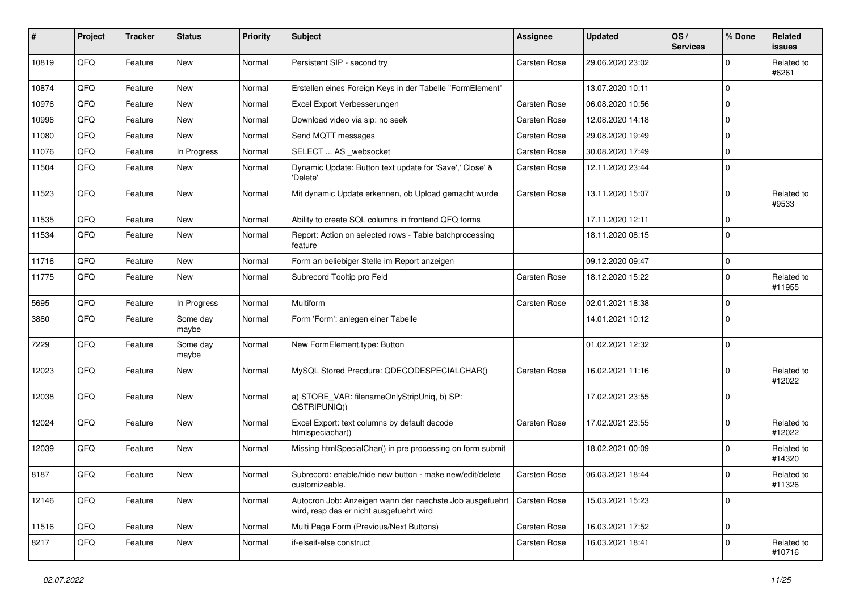| ∦     | Project | <b>Tracker</b> | <b>Status</b>     | <b>Priority</b> | <b>Subject</b>                                                                                       | <b>Assignee</b>     | <b>Updated</b>   | OS/<br><b>Services</b> | % Done      | Related<br><b>issues</b> |
|-------|---------|----------------|-------------------|-----------------|------------------------------------------------------------------------------------------------------|---------------------|------------------|------------------------|-------------|--------------------------|
| 10819 | QFQ     | Feature        | New               | Normal          | Persistent SIP - second try                                                                          | <b>Carsten Rose</b> | 29.06.2020 23:02 |                        | 0           | Related to<br>#6261      |
| 10874 | QFQ     | Feature        | New               | Normal          | Erstellen eines Foreign Keys in der Tabelle "FormElement"                                            |                     | 13.07.2020 10:11 |                        | 0           |                          |
| 10976 | QFQ     | Feature        | New               | Normal          | Excel Export Verbesserungen                                                                          | <b>Carsten Rose</b> | 06.08.2020 10:56 |                        | 0           |                          |
| 10996 | QFQ     | Feature        | New               | Normal          | Download video via sip: no seek                                                                      | <b>Carsten Rose</b> | 12.08.2020 14:18 |                        | 0           |                          |
| 11080 | QFQ     | Feature        | New               | Normal          | Send MQTT messages                                                                                   | <b>Carsten Rose</b> | 29.08.2020 19:49 |                        | $\Omega$    |                          |
| 11076 | QFQ     | Feature        | In Progress       | Normal          | SELECT  AS _websocket                                                                                | <b>Carsten Rose</b> | 30.08.2020 17:49 |                        | $\mathbf 0$ |                          |
| 11504 | QFQ     | Feature        | New               | Normal          | Dynamic Update: Button text update for 'Save',' Close' &<br>'Delete'                                 | Carsten Rose        | 12.11.2020 23:44 |                        | $\Omega$    |                          |
| 11523 | QFQ     | Feature        | New               | Normal          | Mit dynamic Update erkennen, ob Upload gemacht wurde                                                 | <b>Carsten Rose</b> | 13.11.2020 15:07 |                        | $\Omega$    | Related to<br>#9533      |
| 11535 | QFQ     | Feature        | New               | Normal          | Ability to create SQL columns in frontend QFQ forms                                                  |                     | 17.11.2020 12:11 |                        | 0           |                          |
| 11534 | QFQ     | Feature        | New               | Normal          | Report: Action on selected rows - Table batchprocessing<br>feature                                   |                     | 18.11.2020 08:15 |                        | $\Omega$    |                          |
| 11716 | QFQ     | Feature        | <b>New</b>        | Normal          | Form an beliebiger Stelle im Report anzeigen                                                         |                     | 09.12.2020 09:47 |                        | $\mathbf 0$ |                          |
| 11775 | QFQ     | Feature        | New               | Normal          | Subrecord Tooltip pro Feld                                                                           | <b>Carsten Rose</b> | 18.12.2020 15:22 |                        | $\Omega$    | Related to<br>#11955     |
| 5695  | QFQ     | Feature        | In Progress       | Normal          | Multiform                                                                                            | <b>Carsten Rose</b> | 02.01.2021 18:38 |                        | 0           |                          |
| 3880  | QFQ     | Feature        | Some day<br>maybe | Normal          | Form 'Form': anlegen einer Tabelle                                                                   |                     | 14.01.2021 10:12 |                        | 0           |                          |
| 7229  | QFQ     | Feature        | Some day<br>maybe | Normal          | New FormElement.type: Button                                                                         |                     | 01.02.2021 12:32 |                        | $\Omega$    |                          |
| 12023 | QFQ     | Feature        | New               | Normal          | MySQL Stored Precdure: QDECODESPECIALCHAR()                                                          | <b>Carsten Rose</b> | 16.02.2021 11:16 |                        | $\Omega$    | Related to<br>#12022     |
| 12038 | QFQ     | Feature        | New               | Normal          | a) STORE_VAR: filenameOnlyStripUniq, b) SP:<br>QSTRIPUNIQ()                                          |                     | 17.02.2021 23:55 |                        | $\Omega$    |                          |
| 12024 | QFQ     | Feature        | New               | Normal          | Excel Export: text columns by default decode<br>htmlspeciachar()                                     | <b>Carsten Rose</b> | 17.02.2021 23:55 |                        | 0           | Related to<br>#12022     |
| 12039 | QFQ     | Feature        | New               | Normal          | Missing htmlSpecialChar() in pre processing on form submit                                           |                     | 18.02.2021 00:09 |                        | 0           | Related to<br>#14320     |
| 8187  | QFQ     | Feature        | New               | Normal          | Subrecord: enable/hide new button - make new/edit/delete<br>customizeable.                           | <b>Carsten Rose</b> | 06.03.2021 18:44 |                        | 0           | Related to<br>#11326     |
| 12146 | QFO     | Feature        | New               | Normal          | Autocron Job: Anzeigen wann der naechste Job ausgefuehrt<br>wird, resp das er nicht ausgefuehrt wird | <b>Carsten Rose</b> | 15.03.2021 15:23 |                        | $\mathbf 0$ |                          |
| 11516 | QFQ     | Feature        | New               | Normal          | Multi Page Form (Previous/Next Buttons)                                                              | Carsten Rose        | 16.03.2021 17:52 |                        | $\mathbf 0$ |                          |
| 8217  | QFQ     | Feature        | New               | Normal          | if-elseif-else construct                                                                             | Carsten Rose        | 16.03.2021 18:41 |                        | 0           | Related to<br>#10716     |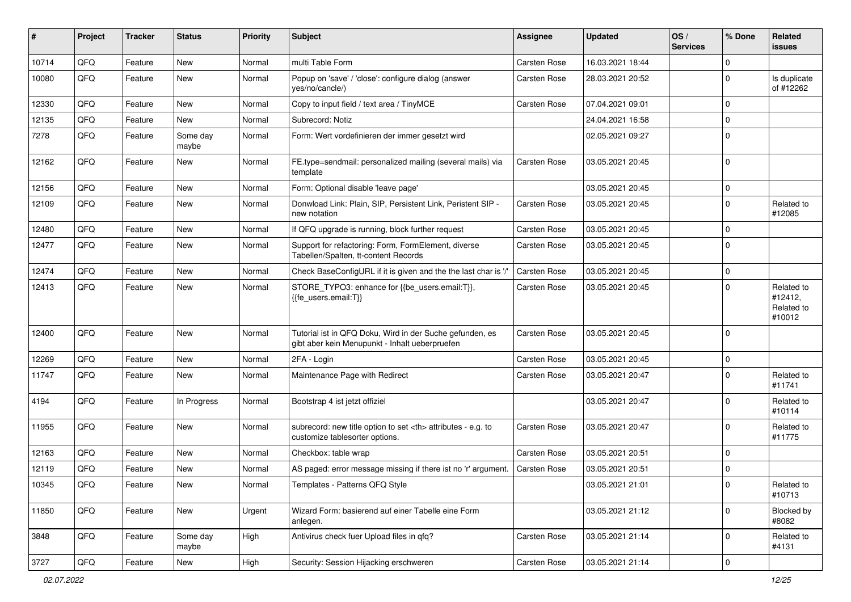| ∦     | Project | <b>Tracker</b> | <b>Status</b>     | <b>Priority</b> | Subject                                                                                                    | <b>Assignee</b>                                        | <b>Updated</b>      | OS/<br><b>Services</b> | % Done      | Related<br>issues                             |                      |
|-------|---------|----------------|-------------------|-----------------|------------------------------------------------------------------------------------------------------------|--------------------------------------------------------|---------------------|------------------------|-------------|-----------------------------------------------|----------------------|
| 10714 | QFQ     | Feature        | <b>New</b>        | Normal          | multi Table Form                                                                                           | <b>Carsten Rose</b>                                    | 16.03.2021 18:44    |                        | $\Omega$    |                                               |                      |
| 10080 | QFQ     | Feature        | New               | Normal          | Popup on 'save' / 'close': configure dialog (answer<br>yes/no/cancle/)                                     | Carsten Rose                                           | 28.03.2021 20:52    |                        | $\Omega$    | Is duplicate<br>of #12262                     |                      |
| 12330 | QFQ     | Feature        | <b>New</b>        | Normal          | Copy to input field / text area / TinyMCE                                                                  | <b>Carsten Rose</b>                                    | 07.04.2021 09:01    |                        | 0           |                                               |                      |
| 12135 | QFQ     | Feature        | New               | Normal          | Subrecord: Notiz                                                                                           |                                                        | 24.04.2021 16:58    |                        | 0           |                                               |                      |
| 7278  | QFQ     | Feature        | Some day<br>maybe | Normal          | Form: Wert vordefinieren der immer gesetzt wird                                                            |                                                        | 02.05.2021 09:27    |                        | 0           |                                               |                      |
| 12162 | QFQ     | Feature        | New               | Normal          | FE.type=sendmail: personalized mailing (several mails) via<br>template                                     | <b>Carsten Rose</b>                                    | 03.05.2021 20:45    |                        | $\Omega$    |                                               |                      |
| 12156 | QFQ     | Feature        | <b>New</b>        | Normal          | Form: Optional disable 'leave page'                                                                        |                                                        | 03.05.2021 20:45    |                        | 0           |                                               |                      |
| 12109 | QFQ     | Feature        | New               | Normal          | Donwload Link: Plain, SIP, Persistent Link, Peristent SIP -<br>new notation                                | <b>Carsten Rose</b>                                    | 03.05.2021 20:45    |                        | $\Omega$    | Related to<br>#12085                          |                      |
| 12480 | QFQ     | Feature        | <b>New</b>        | Normal          | If QFQ upgrade is running, block further request                                                           | Carsten Rose                                           | 03.05.2021 20:45    |                        | $\Omega$    |                                               |                      |
| 12477 | QFQ     | Feature        | New               | Normal          | Support for refactoring: Form, FormElement, diverse<br>Tabellen/Spalten, tt-content Records                | <b>Carsten Rose</b>                                    | 03.05.2021 20:45    |                        | $\Omega$    |                                               |                      |
| 12474 | QFQ     | Feature        | New               | Normal          | Check BaseConfigURL if it is given and the the last char is '/'                                            | <b>Carsten Rose</b>                                    | 03.05.2021 20:45    |                        | 0           |                                               |                      |
| 12413 | QFQ     | Feature        | New               | Normal          | STORE_TYPO3: enhance for {{be_users.email:T}},<br>{{fe users.email:T}}                                     | Carsten Rose                                           | 03.05.2021 20:45    |                        | $\Omega$    | Related to<br>#12412,<br>Related to<br>#10012 |                      |
| 12400 | QFQ     | Feature        | New               | Normal          | Tutorial ist in QFQ Doku, Wird in der Suche gefunden, es<br>gibt aber kein Menupunkt - Inhalt ueberpruefen | <b>Carsten Rose</b>                                    | 03.05.2021 20:45    |                        | $\Omega$    |                                               |                      |
| 12269 | QFQ     | Feature        | New               | Normal          | 2FA - Login                                                                                                | <b>Carsten Rose</b>                                    | 03.05.2021 20:45    |                        | $\mathbf 0$ |                                               |                      |
| 11747 | QFQ     | Feature        | New               | Normal          | Maintenance Page with Redirect                                                                             | Carsten Rose                                           | 03.05.2021 20:47    |                        | 0           | Related to<br>#11741                          |                      |
| 4194  | QFQ     | Feature        | In Progress       | Normal          | Bootstrap 4 ist jetzt offiziel                                                                             |                                                        | 03.05.2021 20:47    |                        | 0           | Related to<br>#10114                          |                      |
| 11955 | QFQ     | Feature        | New               | Normal          | subrecord: new title option to set <th> attributes - e.g. to<br/>customize tablesorter options.</th>       | attributes - e.g. to<br>customize tablesorter options. | <b>Carsten Rose</b> | 03.05.2021 20:47       |             | $\Omega$                                      | Related to<br>#11775 |
| 12163 | QFQ     | Feature        | New               | Normal          | Checkbox: table wrap                                                                                       | Carsten Rose                                           | 03.05.2021 20:51    |                        | 0           |                                               |                      |
| 12119 | QFQ     | Feature        | New               | Normal          | AS paged: error message missing if there ist no 'r' argument.                                              | <b>Carsten Rose</b>                                    | 03.05.2021 20:51    |                        | $\Omega$    |                                               |                      |
| 10345 | QFQ     | Feature        | New               | Normal          | Templates - Patterns QFQ Style                                                                             |                                                        | 03.05.2021 21:01    |                        | 0           | Related to<br>#10713                          |                      |
| 11850 | QFO     | Feature        | New               | Urgent          | Wizard Form: basierend auf einer Tabelle eine Form<br>anlegen.                                             |                                                        | 03.05.2021 21:12    |                        | $\mathbf 0$ | Blocked by<br>#8082                           |                      |
| 3848  | QFQ     | Feature        | Some day<br>maybe | High            | Antivirus check fuer Upload files in qfq?                                                                  | Carsten Rose                                           | 03.05.2021 21:14    |                        | $\mathbf 0$ | Related to<br>#4131                           |                      |
| 3727  | QFG     | Feature        | New               | High            | Security: Session Hijacking erschweren                                                                     | Carsten Rose                                           | 03.05.2021 21:14    |                        | 0           |                                               |                      |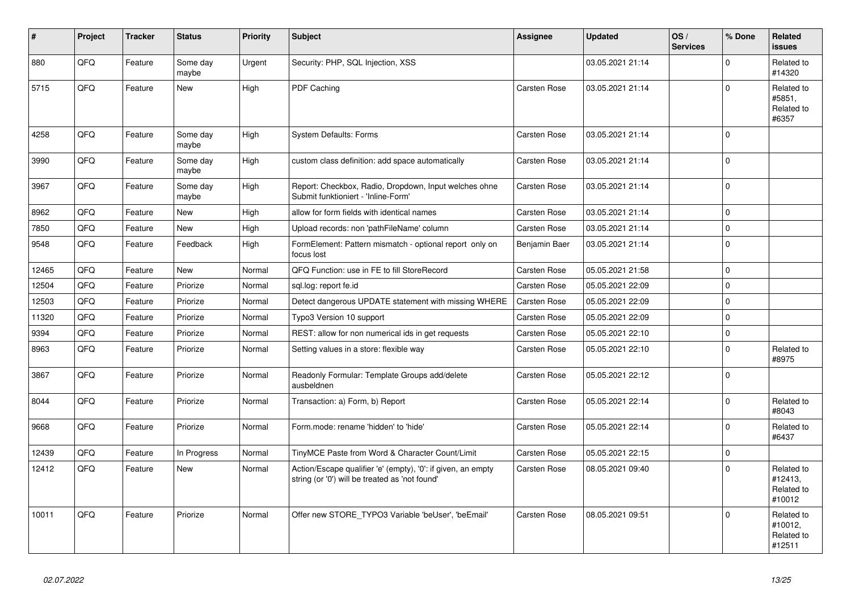| #     | Project | <b>Tracker</b> | <b>Status</b>     | <b>Priority</b> | <b>Subject</b>                                                                                                 | Assignee            | <b>Updated</b>   | OS/<br><b>Services</b> | % Done      | Related<br><b>issues</b>                      |
|-------|---------|----------------|-------------------|-----------------|----------------------------------------------------------------------------------------------------------------|---------------------|------------------|------------------------|-------------|-----------------------------------------------|
| 880   | QFQ     | Feature        | Some day<br>maybe | Urgent          | Security: PHP, SQL Injection, XSS                                                                              |                     | 03.05.2021 21:14 |                        | $\Omega$    | Related to<br>#14320                          |
| 5715  | QFQ     | Feature        | <b>New</b>        | High            | PDF Caching                                                                                                    | <b>Carsten Rose</b> | 03.05.2021 21:14 |                        | $\Omega$    | Related to<br>#5851,<br>Related to<br>#6357   |
| 4258  | QFQ     | Feature        | Some day<br>maybe | High            | <b>System Defaults: Forms</b>                                                                                  | Carsten Rose        | 03.05.2021 21:14 |                        | $\Omega$    |                                               |
| 3990  | QFQ     | Feature        | Some day<br>maybe | High            | custom class definition: add space automatically                                                               | <b>Carsten Rose</b> | 03.05.2021 21:14 |                        | $\Omega$    |                                               |
| 3967  | QFQ     | Feature        | Some day<br>maybe | High            | Report: Checkbox, Radio, Dropdown, Input welches ohne<br>Submit funktioniert - 'Inline-Form'                   | <b>Carsten Rose</b> | 03.05.2021 21:14 |                        | $\mathbf 0$ |                                               |
| 8962  | QFQ     | Feature        | New               | High            | allow for form fields with identical names                                                                     | Carsten Rose        | 03.05.2021 21:14 |                        | $\Omega$    |                                               |
| 7850  | QFQ     | Feature        | New               | High            | Upload records: non 'pathFileName' column                                                                      | <b>Carsten Rose</b> | 03.05.2021 21:14 |                        | $\mathbf 0$ |                                               |
| 9548  | QFQ     | Feature        | Feedback          | High            | FormElement: Pattern mismatch - optional report only on<br>focus lost                                          | Benjamin Baer       | 03.05.2021 21:14 |                        | $\Omega$    |                                               |
| 12465 | QFQ     | Feature        | <b>New</b>        | Normal          | QFQ Function: use in FE to fill StoreRecord                                                                    | <b>Carsten Rose</b> | 05.05.2021 21:58 |                        | $\mathbf 0$ |                                               |
| 12504 | QFQ     | Feature        | Priorize          | Normal          | sql.log: report fe.id                                                                                          | Carsten Rose        | 05.05.2021 22:09 |                        | $\Omega$    |                                               |
| 12503 | QFQ     | Feature        | Priorize          | Normal          | Detect dangerous UPDATE statement with missing WHERE                                                           | <b>Carsten Rose</b> | 05.05.2021 22:09 |                        | $\Omega$    |                                               |
| 11320 | QFQ     | Feature        | Priorize          | Normal          | Typo3 Version 10 support                                                                                       | Carsten Rose        | 05.05.2021 22:09 |                        | $\mathbf 0$ |                                               |
| 9394  | QFQ     | Feature        | Priorize          | Normal          | REST: allow for non numerical ids in get requests                                                              | Carsten Rose        | 05.05.2021 22:10 |                        | $\Omega$    |                                               |
| 8963  | QFQ     | Feature        | Priorize          | Normal          | Setting values in a store: flexible way                                                                        | Carsten Rose        | 05.05.2021 22:10 |                        | $\Omega$    | Related to<br>#8975                           |
| 3867  | QFQ     | Feature        | Priorize          | Normal          | Readonly Formular: Template Groups add/delete<br>ausbeldnen                                                    | Carsten Rose        | 05.05.2021 22:12 |                        | $\Omega$    |                                               |
| 8044  | QFQ     | Feature        | Priorize          | Normal          | Transaction: a) Form, b) Report                                                                                | Carsten Rose        | 05.05.2021 22:14 |                        | $\Omega$    | Related to<br>#8043                           |
| 9668  | QFQ     | Feature        | Priorize          | Normal          | Form.mode: rename 'hidden' to 'hide'                                                                           | Carsten Rose        | 05.05.2021 22:14 |                        | $\Omega$    | Related to<br>#6437                           |
| 12439 | QFQ     | Feature        | In Progress       | Normal          | TinyMCE Paste from Word & Character Count/Limit                                                                | <b>Carsten Rose</b> | 05.05.2021 22:15 |                        | $\Omega$    |                                               |
| 12412 | QFQ     | Feature        | New               | Normal          | Action/Escape qualifier 'e' (empty), '0': if given, an empty<br>string (or '0') will be treated as 'not found' | <b>Carsten Rose</b> | 08.05.2021 09:40 |                        | $\Omega$    | Related to<br>#12413,<br>Related to<br>#10012 |
| 10011 | QFQ     | Feature        | Priorize          | Normal          | Offer new STORE TYPO3 Variable 'beUser', 'beEmail'                                                             | <b>Carsten Rose</b> | 08.05.2021 09:51 |                        | $\Omega$    | Related to<br>#10012.<br>Related to<br>#12511 |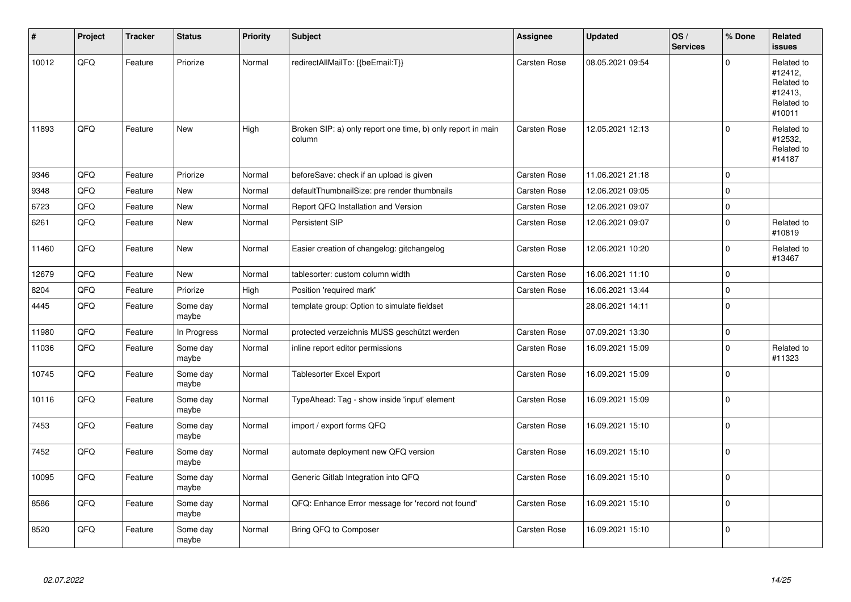| #     | Project | <b>Tracker</b> | <b>Status</b>     | <b>Priority</b> | <b>Subject</b>                                                        | <b>Assignee</b>     | <b>Updated</b>   | OS/<br><b>Services</b> | % Done         | Related<br>issues                                                      |
|-------|---------|----------------|-------------------|-----------------|-----------------------------------------------------------------------|---------------------|------------------|------------------------|----------------|------------------------------------------------------------------------|
| 10012 | QFQ     | Feature        | Priorize          | Normal          | redirectAllMailTo: {{beEmail:T}}                                      | <b>Carsten Rose</b> | 08.05.2021 09:54 |                        | $\Omega$       | Related to<br>#12412,<br>Related to<br>#12413,<br>Related to<br>#10011 |
| 11893 | QFQ     | Feature        | New               | High            | Broken SIP: a) only report one time, b) only report in main<br>column | Carsten Rose        | 12.05.2021 12:13 |                        | $\mathbf 0$    | Related to<br>#12532,<br>Related to<br>#14187                          |
| 9346  | QFQ     | Feature        | Priorize          | Normal          | beforeSave: check if an upload is given                               | <b>Carsten Rose</b> | 11.06.2021 21:18 |                        | $\Omega$       |                                                                        |
| 9348  | QFQ     | Feature        | <b>New</b>        | Normal          | defaultThumbnailSize: pre render thumbnails                           | Carsten Rose        | 12.06.2021 09:05 |                        | $\Omega$       |                                                                        |
| 6723  | QFQ     | Feature        | <b>New</b>        | Normal          | Report QFQ Installation and Version                                   | Carsten Rose        | 12.06.2021 09:07 |                        | $\mathbf 0$    |                                                                        |
| 6261  | QFQ     | Feature        | New               | Normal          | Persistent SIP                                                        | <b>Carsten Rose</b> | 12.06.2021 09:07 |                        | $\Omega$       | Related to<br>#10819                                                   |
| 11460 | QFQ     | Feature        | <b>New</b>        | Normal          | Easier creation of changelog: gitchangelog                            | Carsten Rose        | 12.06.2021 10:20 |                        | 0              | Related to<br>#13467                                                   |
| 12679 | QFQ     | Feature        | <b>New</b>        | Normal          | tablesorter: custom column width                                      | Carsten Rose        | 16.06.2021 11:10 |                        | $\overline{0}$ |                                                                        |
| 8204  | QFQ     | Feature        | Priorize          | High            | Position 'required mark'                                              | <b>Carsten Rose</b> | 16.06.2021 13:44 |                        | $\mathbf 0$    |                                                                        |
| 4445  | QFQ     | Feature        | Some day<br>maybe | Normal          | template group: Option to simulate fieldset                           |                     | 28.06.2021 14:11 |                        | $\overline{0}$ |                                                                        |
| 11980 | QFQ     | Feature        | In Progress       | Normal          | protected verzeichnis MUSS geschützt werden                           | <b>Carsten Rose</b> | 07.09.2021 13:30 |                        | $\mathbf 0$    |                                                                        |
| 11036 | QFQ     | Feature        | Some day<br>maybe | Normal          | inline report editor permissions                                      | <b>Carsten Rose</b> | 16.09.2021 15:09 |                        | $\Omega$       | Related to<br>#11323                                                   |
| 10745 | QFQ     | Feature        | Some day<br>maybe | Normal          | <b>Tablesorter Excel Export</b>                                       | <b>Carsten Rose</b> | 16.09.2021 15:09 |                        | $\mathbf 0$    |                                                                        |
| 10116 | QFQ     | Feature        | Some day<br>maybe | Normal          | TypeAhead: Tag - show inside 'input' element                          | Carsten Rose        | 16.09.2021 15:09 |                        | $\overline{0}$ |                                                                        |
| 7453  | QFQ     | Feature        | Some day<br>maybe | Normal          | import / export forms QFQ                                             | <b>Carsten Rose</b> | 16.09.2021 15:10 |                        | $\Omega$       |                                                                        |
| 7452  | QFQ     | Feature        | Some day<br>maybe | Normal          | automate deployment new QFQ version                                   | <b>Carsten Rose</b> | 16.09.2021 15:10 |                        | $\Omega$       |                                                                        |
| 10095 | QFQ     | Feature        | Some day<br>maybe | Normal          | Generic Gitlab Integration into QFQ                                   | Carsten Rose        | 16.09.2021 15:10 |                        | $\mathbf 0$    |                                                                        |
| 8586  | QFQ     | Feature        | Some day<br>maybe | Normal          | QFQ: Enhance Error message for 'record not found'                     | Carsten Rose        | 16.09.2021 15:10 |                        | $\overline{0}$ |                                                                        |
| 8520  | QFQ     | Feature        | Some day<br>maybe | Normal          | Bring QFQ to Composer                                                 | <b>Carsten Rose</b> | 16.09.2021 15:10 |                        | $\Omega$       |                                                                        |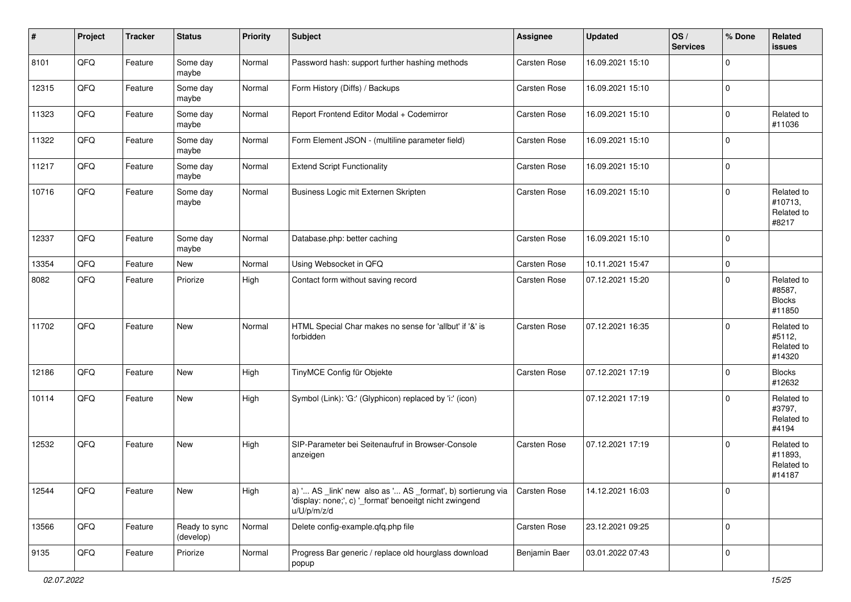| #     | Project | <b>Tracker</b> | <b>Status</b>              | <b>Priority</b> | <b>Subject</b>                                                                                                                        | <b>Assignee</b> | <b>Updated</b>   | OS/<br><b>Services</b> | % Done      | Related<br><b>issues</b>                        |
|-------|---------|----------------|----------------------------|-----------------|---------------------------------------------------------------------------------------------------------------------------------------|-----------------|------------------|------------------------|-------------|-------------------------------------------------|
| 8101  | QFQ     | Feature        | Some day<br>maybe          | Normal          | Password hash: support further hashing methods                                                                                        | Carsten Rose    | 16.09.2021 15:10 |                        | $\Omega$    |                                                 |
| 12315 | QFQ     | Feature        | Some day<br>maybe          | Normal          | Form History (Diffs) / Backups                                                                                                        | Carsten Rose    | 16.09.2021 15:10 |                        | $\mathbf 0$ |                                                 |
| 11323 | QFQ     | Feature        | Some day<br>maybe          | Normal          | Report Frontend Editor Modal + Codemirror                                                                                             | Carsten Rose    | 16.09.2021 15:10 |                        | $\Omega$    | Related to<br>#11036                            |
| 11322 | QFQ     | Feature        | Some day<br>maybe          | Normal          | Form Element JSON - (multiline parameter field)                                                                                       | Carsten Rose    | 16.09.2021 15:10 |                        | $\Omega$    |                                                 |
| 11217 | QFQ     | Feature        | Some day<br>maybe          | Normal          | <b>Extend Script Functionality</b>                                                                                                    | Carsten Rose    | 16.09.2021 15:10 |                        | $\mathbf 0$ |                                                 |
| 10716 | QFQ     | Feature        | Some day<br>maybe          | Normal          | Business Logic mit Externen Skripten                                                                                                  | Carsten Rose    | 16.09.2021 15:10 |                        | $\Omega$    | Related to<br>#10713,<br>Related to<br>#8217    |
| 12337 | QFQ     | Feature        | Some day<br>maybe          | Normal          | Database.php: better caching                                                                                                          | Carsten Rose    | 16.09.2021 15:10 |                        | $\mathbf 0$ |                                                 |
| 13354 | QFQ     | Feature        | New                        | Normal          | Using Websocket in QFQ                                                                                                                | Carsten Rose    | 10.11.2021 15:47 |                        | $\Omega$    |                                                 |
| 8082  | QFQ     | Feature        | Priorize                   | High            | Contact form without saving record                                                                                                    | Carsten Rose    | 07.12.2021 15:20 |                        | $\Omega$    | Related to<br>#8587,<br><b>Blocks</b><br>#11850 |
| 11702 | QFQ     | Feature        | New                        | Normal          | HTML Special Char makes no sense for 'allbut' if '&' is<br>forbidden                                                                  | Carsten Rose    | 07.12.2021 16:35 |                        | $\Omega$    | Related to<br>#5112,<br>Related to<br>#14320    |
| 12186 | QFQ     | Feature        | New                        | High            | TinyMCE Config für Objekte                                                                                                            | Carsten Rose    | 07.12.2021 17:19 |                        | $\Omega$    | <b>Blocks</b><br>#12632                         |
| 10114 | QFQ     | Feature        | New                        | High            | Symbol (Link): 'G:' (Glyphicon) replaced by 'i:' (icon)                                                                               |                 | 07.12.2021 17:19 |                        | $\Omega$    | Related to<br>#3797,<br>Related to<br>#4194     |
| 12532 | QFQ     | Feature        | New                        | High            | SIP-Parameter bei Seitenaufruf in Browser-Console<br>anzeigen                                                                         | Carsten Rose    | 07.12.2021 17:19 |                        | $\Omega$    | Related to<br>#11893,<br>Related to<br>#14187   |
| 12544 | QFQ     | Feature        | New                        | High            | a) ' AS _link' new also as ' AS _format', b) sortierung via<br>'display: none;', c) '_format' benoeitgt nicht zwingend<br>u/U/p/m/z/d | Carsten Rose    | 14.12.2021 16:03 |                        | $\mathbf 0$ |                                                 |
| 13566 | QFO     | Feature        | Ready to sync<br>(develop) | Normal          | Delete config-example.qfq.php file                                                                                                    | Carsten Rose    | 23.12.2021 09:25 |                        | $\mathbf 0$ |                                                 |
| 9135  | QFO     | Feature        | Priorize                   | Normal          | Progress Bar generic / replace old hourglass download<br>popup                                                                        | Benjamin Baer   | 03.01.2022 07:43 |                        | $\mathbf 0$ |                                                 |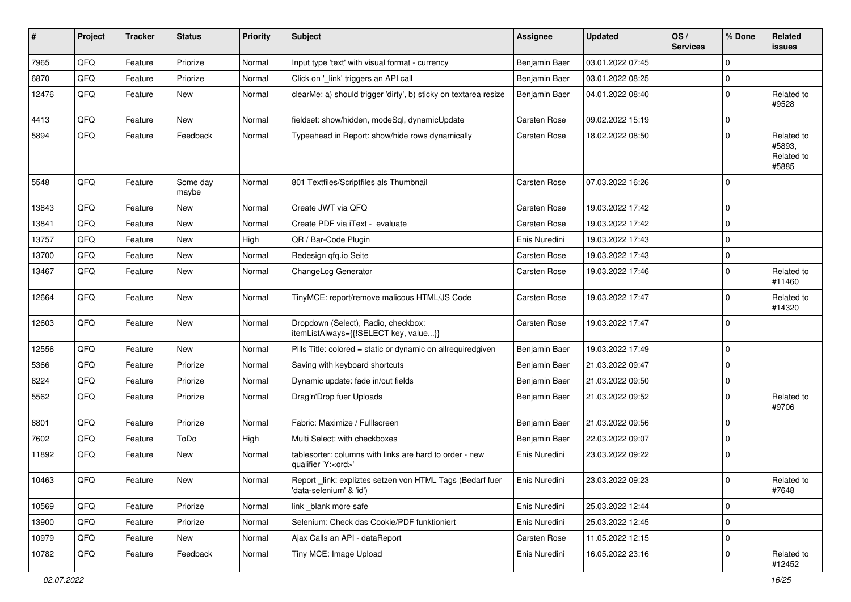| ∦     | Project | <b>Tracker</b> | <b>Status</b>     | <b>Priority</b> | <b>Subject</b>                                                                        | <b>Assignee</b>     | <b>Updated</b>   | OS/<br><b>Services</b> | % Done      | Related<br><b>issues</b>                    |
|-------|---------|----------------|-------------------|-----------------|---------------------------------------------------------------------------------------|---------------------|------------------|------------------------|-------------|---------------------------------------------|
| 7965  | QFQ     | Feature        | Priorize          | Normal          | Input type 'text' with visual format - currency                                       | Benjamin Baer       | 03.01.2022 07:45 |                        | $\Omega$    |                                             |
| 6870  | QFQ     | Feature        | Priorize          | Normal          | Click on '_link' triggers an API call                                                 | Benjamin Baer       | 03.01.2022 08:25 |                        | $\mathbf 0$ |                                             |
| 12476 | QFQ     | Feature        | New               | Normal          | clearMe: a) should trigger 'dirty', b) sticky on textarea resize                      | Benjamin Baer       | 04.01.2022 08:40 |                        | $\Omega$    | Related to<br>#9528                         |
| 4413  | QFQ     | Feature        | New               | Normal          | fieldset: show/hidden, modeSql, dynamicUpdate                                         | <b>Carsten Rose</b> | 09.02.2022 15:19 |                        | $\mathbf 0$ |                                             |
| 5894  | QFQ     | Feature        | Feedback          | Normal          | Typeahead in Report: show/hide rows dynamically                                       | <b>Carsten Rose</b> | 18.02.2022 08:50 |                        | $\mathbf 0$ | Related to<br>#5893,<br>Related to<br>#5885 |
| 5548  | QFQ     | Feature        | Some day<br>maybe | Normal          | 801 Textfiles/Scriptfiles als Thumbnail                                               | <b>Carsten Rose</b> | 07.03.2022 16:26 |                        | $\Omega$    |                                             |
| 13843 | QFQ     | Feature        | <b>New</b>        | Normal          | Create JWT via QFQ                                                                    | <b>Carsten Rose</b> | 19.03.2022 17:42 |                        | $\mathbf 0$ |                                             |
| 13841 | QFQ     | Feature        | New               | Normal          | Create PDF via iText - evaluate                                                       | <b>Carsten Rose</b> | 19.03.2022 17:42 |                        | $\mathbf 0$ |                                             |
| 13757 | QFQ     | Feature        | New               | High            | QR / Bar-Code Plugin                                                                  | Enis Nuredini       | 19.03.2022 17:43 |                        | $\Omega$    |                                             |
| 13700 | QFQ     | Feature        | New               | Normal          | Redesign qfq.io Seite                                                                 | <b>Carsten Rose</b> | 19.03.2022 17:43 |                        | $\mathbf 0$ |                                             |
| 13467 | QFQ     | Feature        | New               | Normal          | ChangeLog Generator                                                                   | <b>Carsten Rose</b> | 19.03.2022 17:46 |                        | $\Omega$    | Related to<br>#11460                        |
| 12664 | QFQ     | Feature        | New               | Normal          | TinyMCE: report/remove malicous HTML/JS Code                                          | <b>Carsten Rose</b> | 19.03.2022 17:47 |                        | $\mathbf 0$ | Related to<br>#14320                        |
| 12603 | QFQ     | Feature        | New               | Normal          | Dropdown (Select), Radio, checkbox:<br>itemListAlways={{!SELECT key, value}}          | <b>Carsten Rose</b> | 19.03.2022 17:47 |                        | $\Omega$    |                                             |
| 12556 | QFQ     | Feature        | New               | Normal          | Pills Title: colored = static or dynamic on allrequiredgiven                          | Benjamin Baer       | 19.03.2022 17:49 |                        | $\Omega$    |                                             |
| 5366  | QFQ     | Feature        | Priorize          | Normal          | Saving with keyboard shortcuts                                                        | Benjamin Baer       | 21.03.2022 09:47 |                        | $\mathbf 0$ |                                             |
| 6224  | QFQ     | Feature        | Priorize          | Normal          | Dynamic update: fade in/out fields                                                    | Benjamin Baer       | 21.03.2022 09:50 |                        | $\mathbf 0$ |                                             |
| 5562  | QFQ     | Feature        | Priorize          | Normal          | Drag'n'Drop fuer Uploads                                                              | Benjamin Baer       | 21.03.2022 09:52 |                        | $\Omega$    | Related to<br>#9706                         |
| 6801  | QFQ     | Feature        | Priorize          | Normal          | Fabric: Maximize / FullIscreen                                                        | Benjamin Baer       | 21.03.2022 09:56 |                        | $\Omega$    |                                             |
| 7602  | QFQ     | Feature        | ToDo              | High            | Multi Select: with checkboxes                                                         | Benjamin Baer       | 22.03.2022 09:07 |                        | $\mathbf 0$ |                                             |
| 11892 | QFQ     | Feature        | New               | Normal          | tablesorter: columns with links are hard to order - new<br>qualifier 'Y: <ord>'</ord> | Enis Nuredini       | 23.03.2022 09:22 |                        | $\Omega$    |                                             |
| 10463 | QFG     | Feature        | New               | Normal          | Report_link: expliztes setzen von HTML Tags (Bedarf fuer<br>'data-selenium' & 'id')   | Enis Nuredini       | 23.03.2022 09:23 |                        | $\mathbf 0$ | Related to<br>#7648                         |
| 10569 | QFQ     | Feature        | Priorize          | Normal          | link _blank more safe                                                                 | Enis Nuredini       | 25.03.2022 12:44 |                        | $\mathbf 0$ |                                             |
| 13900 | QFQ     | Feature        | Priorize          | Normal          | Selenium: Check das Cookie/PDF funktioniert                                           | Enis Nuredini       | 25.03.2022 12:45 |                        | $\mathbf 0$ |                                             |
| 10979 | QFQ     | Feature        | New               | Normal          | Ajax Calls an API - dataReport                                                        | Carsten Rose        | 11.05.2022 12:15 |                        | $\mathbf 0$ |                                             |
| 10782 | QFQ     | Feature        | Feedback          | Normal          | Tiny MCE: Image Upload                                                                | Enis Nuredini       | 16.05.2022 23:16 |                        | $\mathbf 0$ | Related to<br>#12452                        |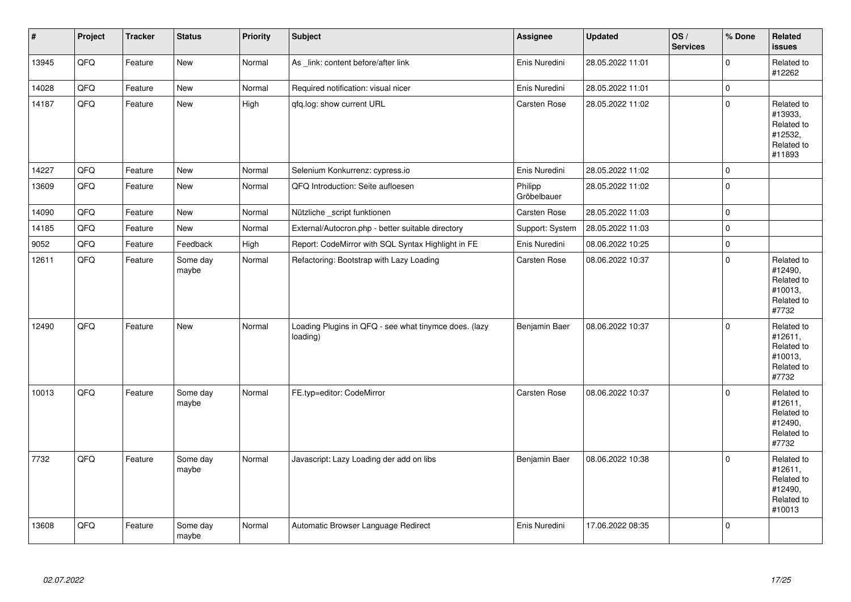| $\vert$ # | Project | <b>Tracker</b> | <b>Status</b>     | Priority | <b>Subject</b>                                                    | Assignee               | <b>Updated</b>   | OS/<br><b>Services</b> | % Done              | Related<br><b>issues</b>                                               |
|-----------|---------|----------------|-------------------|----------|-------------------------------------------------------------------|------------------------|------------------|------------------------|---------------------|------------------------------------------------------------------------|
| 13945     | QFQ     | Feature        | New               | Normal   | As _link: content before/after link                               | Enis Nuredini          | 28.05.2022 11:01 |                        | $\Omega$            | Related to<br>#12262                                                   |
| 14028     | QFQ     | Feature        | New               | Normal   | Required notification: visual nicer                               | Enis Nuredini          | 28.05.2022 11:01 |                        | $\mathbf 0$         |                                                                        |
| 14187     | QFQ     | Feature        | New               | High     | gfg.log: show current URL                                         | Carsten Rose           | 28.05.2022 11:02 |                        | $\mathbf 0$         | Related to<br>#13933,<br>Related to<br>#12532,<br>Related to<br>#11893 |
| 14227     | QFQ     | Feature        | <b>New</b>        | Normal   | Selenium Konkurrenz: cypress.io                                   | Enis Nuredini          | 28.05.2022 11:02 |                        | $\mathbf 0$         |                                                                        |
| 13609     | QFQ     | Feature        | <b>New</b>        | Normal   | QFQ Introduction: Seite aufloesen                                 | Philipp<br>Gröbelbauer | 28.05.2022 11:02 |                        | $\mathbf 0$         |                                                                        |
| 14090     | QFQ     | Feature        | New               | Normal   | Nützliche _script funktionen                                      | Carsten Rose           | 28.05.2022 11:03 |                        | $\mathbf 0$         |                                                                        |
| 14185     | QFQ     | Feature        | New               | Normal   | External/Autocron.php - better suitable directory                 | Support: System        | 28.05.2022 11:03 |                        | $\pmb{0}$           |                                                                        |
| 9052      | QFQ     | Feature        | Feedback          | High     | Report: CodeMirror with SQL Syntax Highlight in FE                | Enis Nuredini          | 08.06.2022 10:25 |                        | $\mathsf{O}\xspace$ |                                                                        |
| 12611     | QFQ     | Feature        | Some day<br>maybe | Normal   | Refactoring: Bootstrap with Lazy Loading                          | Carsten Rose           | 08.06.2022 10:37 |                        | $\mathbf 0$         | Related to<br>#12490,<br>Related to<br>#10013,<br>Related to<br>#7732  |
| 12490     | QFQ     | Feature        | <b>New</b>        | Normal   | Loading Plugins in QFQ - see what tinymce does. (lazy<br>loading) | Benjamin Baer          | 08.06.2022 10:37 |                        | $\Omega$            | Related to<br>#12611,<br>Related to<br>#10013,<br>Related to<br>#7732  |
| 10013     | QFQ     | Feature        | Some day<br>maybe | Normal   | FE.typ=editor: CodeMirror                                         | <b>Carsten Rose</b>    | 08.06.2022 10:37 |                        | $\Omega$            | Related to<br>#12611,<br>Related to<br>#12490,<br>Related to<br>#7732  |
| 7732      | QFQ     | Feature        | Some day<br>maybe | Normal   | Javascript: Lazy Loading der add on libs                          | Benjamin Baer          | 08.06.2022 10:38 |                        | $\Omega$            | Related to<br>#12611,<br>Related to<br>#12490,<br>Related to<br>#10013 |
| 13608     | QFQ     | Feature        | Some day<br>maybe | Normal   | Automatic Browser Language Redirect                               | Enis Nuredini          | 17.06.2022 08:35 |                        | $\Omega$            |                                                                        |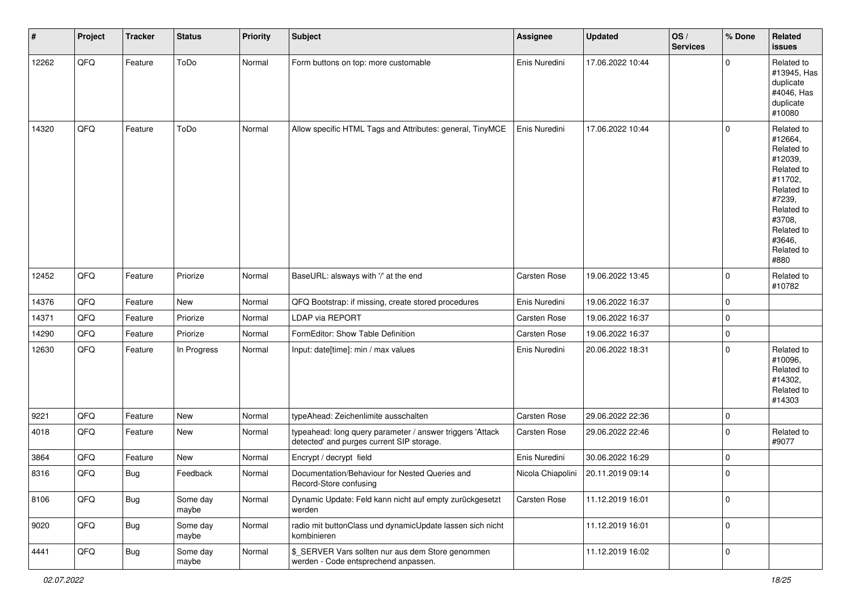| #     | Project | <b>Tracker</b> | <b>Status</b>     | <b>Priority</b> | <b>Subject</b>                                                                                         | Assignee            | <b>Updated</b>   | OS/<br><b>Services</b> | % Done      | Related<br><b>issues</b>                                                                                                                                              |
|-------|---------|----------------|-------------------|-----------------|--------------------------------------------------------------------------------------------------------|---------------------|------------------|------------------------|-------------|-----------------------------------------------------------------------------------------------------------------------------------------------------------------------|
| 12262 | QFQ     | Feature        | ToDo              | Normal          | Form buttons on top: more customable                                                                   | Enis Nuredini       | 17.06.2022 10:44 |                        | $\Omega$    | Related to<br>#13945, Has<br>duplicate<br>#4046, Has<br>duplicate<br>#10080                                                                                           |
| 14320 | QFQ     | Feature        | ToDo              | Normal          | Allow specific HTML Tags and Attributes: general, TinyMCE                                              | Enis Nuredini       | 17.06.2022 10:44 |                        | $\mathbf 0$ | Related to<br>#12664,<br>Related to<br>#12039,<br>Related to<br>#11702,<br>Related to<br>#7239,<br>Related to<br>#3708,<br>Related to<br>#3646,<br>Related to<br>#880 |
| 12452 | QFQ     | Feature        | Priorize          | Normal          | BaseURL: alsways with '/' at the end                                                                   | <b>Carsten Rose</b> | 19.06.2022 13:45 |                        | $\mathbf 0$ | Related to<br>#10782                                                                                                                                                  |
| 14376 | QFQ     | Feature        | New               | Normal          | QFQ Bootstrap: if missing, create stored procedures                                                    | Enis Nuredini       | 19.06.2022 16:37 |                        | $\mathbf 0$ |                                                                                                                                                                       |
| 14371 | QFQ     | Feature        | Priorize          | Normal          | LDAP via REPORT                                                                                        | Carsten Rose        | 19.06.2022 16:37 |                        | 0           |                                                                                                                                                                       |
| 14290 | QFQ     | Feature        | Priorize          | Normal          | FormEditor: Show Table Definition                                                                      | <b>Carsten Rose</b> | 19.06.2022 16:37 |                        | $\mathbf 0$ |                                                                                                                                                                       |
| 12630 | QFQ     | Feature        | In Progress       | Normal          | Input: date[time]: min / max values                                                                    | Enis Nuredini       | 20.06.2022 18:31 |                        | $\mathbf 0$ | Related to<br>#10096,<br>Related to<br>#14302,<br>Related to<br>#14303                                                                                                |
| 9221  | QFQ     | Feature        | <b>New</b>        | Normal          | typeAhead: Zeichenlimite ausschalten                                                                   | <b>Carsten Rose</b> | 29.06.2022 22:36 |                        | $\mathbf 0$ |                                                                                                                                                                       |
| 4018  | QFQ     | Feature        | New               | Normal          | typeahead: long query parameter / answer triggers 'Attack<br>detected' and purges current SIP storage. | <b>Carsten Rose</b> | 29.06.2022 22:46 |                        | $\mathbf 0$ | Related to<br>#9077                                                                                                                                                   |
| 3864  | QFQ     | Feature        | New               | Normal          | Encrypt / decrypt field                                                                                | Enis Nuredini       | 30.06.2022 16:29 |                        | $\mathbf 0$ |                                                                                                                                                                       |
| 8316  | QFQ     | Bug            | Feedback          | Normal          | Documentation/Behaviour for Nested Queries and<br>Record-Store confusing                               | Nicola Chiapolini   | 20.11.2019 09:14 |                        | $\mathbf 0$ |                                                                                                                                                                       |
| 8106  | QFQ     | Bug            | Some day<br>maybe | Normal          | Dynamic Update: Feld kann nicht auf empty zurückgesetzt<br>werden                                      | Carsten Rose        | 11.12.2019 16:01 |                        | $\mathbf 0$ |                                                                                                                                                                       |
| 9020  | QFQ     | Bug            | Some day<br>maybe | Normal          | radio mit buttonClass und dynamicUpdate lassen sich nicht<br>kombinieren                               |                     | 11.12.2019 16:01 |                        | $\mathbf 0$ |                                                                                                                                                                       |
| 4441  | QFG     | Bug            | Some day<br>maybe | Normal          | \$_SERVER Vars sollten nur aus dem Store genommen<br>werden - Code entsprechend anpassen.              |                     | 11.12.2019 16:02 |                        | $\mathbf 0$ |                                                                                                                                                                       |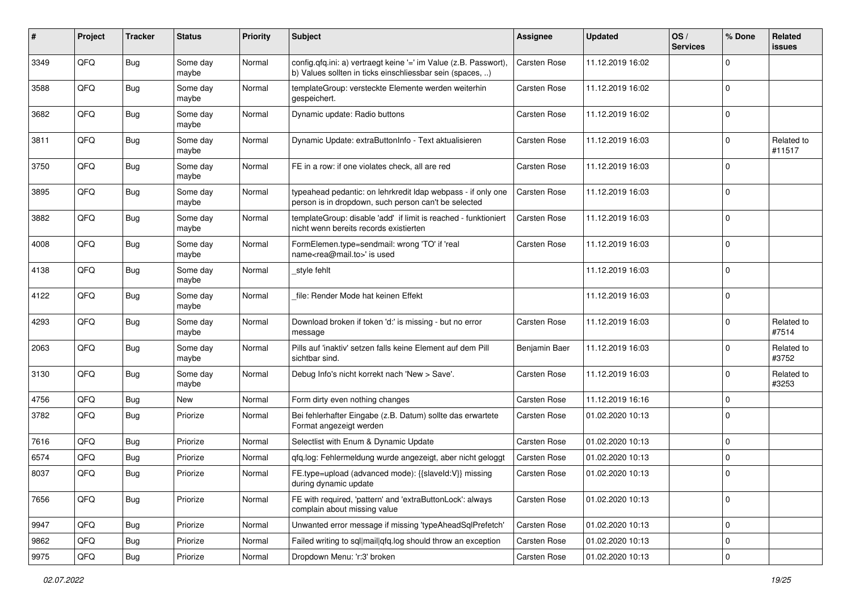| #    | Project | <b>Tracker</b> | <b>Status</b>     | <b>Priority</b> | <b>Subject</b>                                                                                                                | Assignee            | <b>Updated</b>   | OS/<br><b>Services</b> | % Done      | Related<br>issues    |
|------|---------|----------------|-------------------|-----------------|-------------------------------------------------------------------------------------------------------------------------------|---------------------|------------------|------------------------|-------------|----------------------|
| 3349 | QFQ     | <b>Bug</b>     | Some day<br>maybe | Normal          | config.qfq.ini: a) vertraegt keine '=' im Value (z.B. Passwort),<br>b) Values sollten in ticks einschliessbar sein (spaces, ) | <b>Carsten Rose</b> | 11.12.2019 16:02 |                        | 0           |                      |
| 3588 | QFQ     | Bug            | Some day<br>maybe | Normal          | templateGroup: versteckte Elemente werden weiterhin<br>gespeichert.                                                           | <b>Carsten Rose</b> | 11.12.2019 16:02 |                        | $\mathbf 0$ |                      |
| 3682 | QFQ     | Bug            | Some day<br>maybe | Normal          | Dynamic update: Radio buttons                                                                                                 | <b>Carsten Rose</b> | 11.12.2019 16:02 |                        | $\Omega$    |                      |
| 3811 | QFQ     | <b>Bug</b>     | Some day<br>maybe | Normal          | Dynamic Update: extraButtonInfo - Text aktualisieren                                                                          | <b>Carsten Rose</b> | 11.12.2019 16:03 |                        | 0           | Related to<br>#11517 |
| 3750 | QFQ     | Bug            | Some day<br>maybe | Normal          | FE in a row: if one violates check, all are red                                                                               | <b>Carsten Rose</b> | 11.12.2019 16:03 |                        | $\mathbf 0$ |                      |
| 3895 | QFQ     | Bug            | Some day<br>maybe | Normal          | typeahead pedantic: on lehrkredit Idap webpass - if only one<br>person is in dropdown, such person can't be selected          | <b>Carsten Rose</b> | 11.12.2019 16:03 |                        | $\Omega$    |                      |
| 3882 | QFQ     | <b>Bug</b>     | Some day<br>maybe | Normal          | templateGroup: disable 'add' if limit is reached - funktioniert<br>nicht wenn bereits records existierten                     | Carsten Rose        | 11.12.2019 16:03 |                        | $\Omega$    |                      |
| 4008 | QFQ     | Bug            | Some day<br>maybe | Normal          | FormElemen.type=sendmail: wrong 'TO' if 'real<br>name <rea@mail.to>' is used</rea@mail.to>                                    | <b>Carsten Rose</b> | 11.12.2019 16:03 |                        | $\mathbf 0$ |                      |
| 4138 | QFQ     | Bug            | Some day<br>maybe | Normal          | _style fehlt                                                                                                                  |                     | 11.12.2019 16:03 |                        | 0           |                      |
| 4122 | QFQ     | Bug            | Some day<br>maybe | Normal          | file: Render Mode hat keinen Effekt                                                                                           |                     | 11.12.2019 16:03 |                        | $\Omega$    |                      |
| 4293 | QFQ     | Bug            | Some day<br>maybe | Normal          | Download broken if token 'd:' is missing - but no error<br>message                                                            | <b>Carsten Rose</b> | 11.12.2019 16:03 |                        | 0           | Related to<br>#7514  |
| 2063 | QFQ     | Bug            | Some day<br>maybe | Normal          | Pills auf 'inaktiv' setzen falls keine Element auf dem Pill<br>sichtbar sind.                                                 | Benjamin Baer       | 11.12.2019 16:03 |                        | 0           | Related to<br>#3752  |
| 3130 | QFQ     | <b>Bug</b>     | Some day<br>maybe | Normal          | Debug Info's nicht korrekt nach 'New > Save'.                                                                                 | <b>Carsten Rose</b> | 11.12.2019 16:03 |                        | $\Omega$    | Related to<br>#3253  |
| 4756 | QFQ     | Bug            | New               | Normal          | Form dirty even nothing changes                                                                                               | <b>Carsten Rose</b> | 11.12.2019 16:16 |                        | $\Omega$    |                      |
| 3782 | QFQ     | Bug            | Priorize          | Normal          | Bei fehlerhafter Eingabe (z.B. Datum) sollte das erwartete<br>Format angezeigt werden                                         | <b>Carsten Rose</b> | 01.02.2020 10:13 |                        | $\Omega$    |                      |
| 7616 | QFQ     | Bug            | Priorize          | Normal          | Selectlist with Enum & Dynamic Update                                                                                         | <b>Carsten Rose</b> | 01.02.2020 10:13 |                        | 0           |                      |
| 6574 | QFQ     | <b>Bug</b>     | Priorize          | Normal          | gfg.log: Fehlermeldung wurde angezeigt, aber nicht geloggt                                                                    | <b>Carsten Rose</b> | 01.02.2020 10:13 |                        | 0           |                      |
| 8037 | QFQ     | Bug            | Priorize          | Normal          | FE.type=upload (advanced mode): {{slaveld:V}} missing<br>during dynamic update                                                | <b>Carsten Rose</b> | 01.02.2020 10:13 |                        | $\Omega$    |                      |
| 7656 | QFO     | Bug            | Priorize          | Normal          | FE with required, 'pattern' and 'extraButtonLock': always<br>complain about missing value                                     | Carsten Rose        | 01.02.2020 10:13 |                        | $\mathbf 0$ |                      |
| 9947 | QFQ     | <b>Bug</b>     | Priorize          | Normal          | Unwanted error message if missing 'typeAheadSqlPrefetch'                                                                      | Carsten Rose        | 01.02.2020 10:13 |                        | $\mathbf 0$ |                      |
| 9862 | QFQ     | <b>Bug</b>     | Priorize          | Normal          | Failed writing to sql mail qfq.log should throw an exception                                                                  | Carsten Rose        | 01.02.2020 10:13 |                        | 0           |                      |
| 9975 | QFG     | Bug            | Priorize          | Normal          | Dropdown Menu: 'r:3' broken                                                                                                   | Carsten Rose        | 01.02.2020 10:13 |                        | 0           |                      |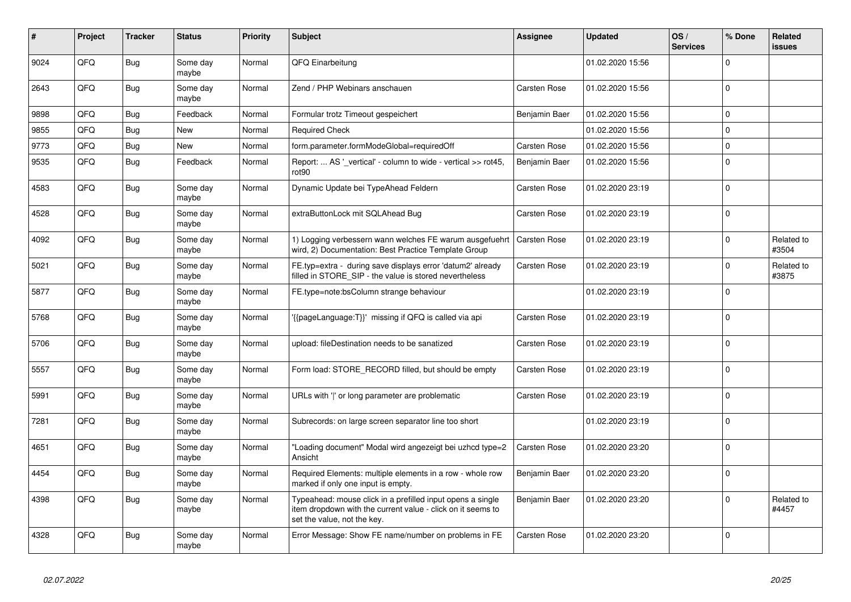| ∦    | Project | <b>Tracker</b> | <b>Status</b>     | <b>Priority</b> | <b>Subject</b>                                                                                                                                           | Assignee            | <b>Updated</b>   | OS/<br><b>Services</b> | % Done      | Related<br>issues   |
|------|---------|----------------|-------------------|-----------------|----------------------------------------------------------------------------------------------------------------------------------------------------------|---------------------|------------------|------------------------|-------------|---------------------|
| 9024 | QFQ     | <b>Bug</b>     | Some day<br>maybe | Normal          | QFQ Einarbeitung                                                                                                                                         |                     | 01.02.2020 15:56 |                        | $\Omega$    |                     |
| 2643 | QFQ     | Bug            | Some day<br>maybe | Normal          | Zend / PHP Webinars anschauen                                                                                                                            | <b>Carsten Rose</b> | 01.02.2020 15:56 |                        | $\Omega$    |                     |
| 9898 | QFQ     | Bug            | Feedback          | Normal          | Formular trotz Timeout gespeichert                                                                                                                       | Benjamin Baer       | 01.02.2020 15:56 |                        | $\mathbf 0$ |                     |
| 9855 | QFQ     | Bug            | <b>New</b>        | Normal          | <b>Required Check</b>                                                                                                                                    |                     | 01.02.2020 15:56 |                        | $\Omega$    |                     |
| 9773 | QFQ     | <b>Bug</b>     | <b>New</b>        | Normal          | form.parameter.formModeGlobal=requiredOff                                                                                                                | Carsten Rose        | 01.02.2020 15:56 |                        | $\Omega$    |                     |
| 9535 | QFQ     | Bug            | Feedback          | Normal          | Report:  AS ' vertical' - column to wide - vertical >> rot45,<br>rot <sub>90</sub>                                                                       | Benjamin Baer       | 01.02.2020 15:56 |                        | $\Omega$    |                     |
| 4583 | QFQ     | <b>Bug</b>     | Some day<br>maybe | Normal          | Dynamic Update bei TypeAhead Feldern                                                                                                                     | <b>Carsten Rose</b> | 01.02.2020 23:19 |                        | $\Omega$    |                     |
| 4528 | QFQ     | Bug            | Some day<br>maybe | Normal          | extraButtonLock mit SQLAhead Bug                                                                                                                         | Carsten Rose        | 01.02.2020 23:19 |                        | $\mathbf 0$ |                     |
| 4092 | QFQ     | Bug            | Some day<br>maybe | Normal          | 1) Logging verbessern wann welches FE warum ausgefuehrt<br>wird, 2) Documentation: Best Practice Template Group                                          | <b>Carsten Rose</b> | 01.02.2020 23:19 |                        | $\Omega$    | Related to<br>#3504 |
| 5021 | QFQ     | Bug            | Some day<br>maybe | Normal          | FE.typ=extra - during save displays error 'datum2' already<br>filled in STORE_SIP - the value is stored nevertheless                                     | Carsten Rose        | 01.02.2020 23:19 |                        | $\Omega$    | Related to<br>#3875 |
| 5877 | QFQ     | Bug            | Some day<br>maybe | Normal          | FE.type=note:bsColumn strange behaviour                                                                                                                  |                     | 01.02.2020 23:19 |                        | $\Omega$    |                     |
| 5768 | QFQ     | Bug            | Some day<br>maybe | Normal          | {{pageLanguage:T}}' missing if QFQ is called via api                                                                                                     | Carsten Rose        | 01.02.2020 23:19 |                        | $\Omega$    |                     |
| 5706 | QFQ     | Bug            | Some day<br>maybe | Normal          | upload: fileDestination needs to be sanatized                                                                                                            | <b>Carsten Rose</b> | 01.02.2020 23:19 |                        | $\Omega$    |                     |
| 5557 | QFQ     | Bug            | Some day<br>maybe | Normal          | Form load: STORE_RECORD filled, but should be empty                                                                                                      | <b>Carsten Rose</b> | 01.02.2020 23:19 |                        | $\Omega$    |                     |
| 5991 | QFQ     | Bug            | Some day<br>maybe | Normal          | URLs with ' ' or long parameter are problematic                                                                                                          | <b>Carsten Rose</b> | 01.02.2020 23:19 |                        | $\Omega$    |                     |
| 7281 | QFQ     | <b>Bug</b>     | Some day<br>maybe | Normal          | Subrecords: on large screen separator line too short                                                                                                     |                     | 01.02.2020 23:19 |                        | $\Omega$    |                     |
| 4651 | QFQ     | <b>Bug</b>     | Some day<br>maybe | Normal          | "Loading document" Modal wird angezeigt bei uzhcd type=2<br>Ansicht                                                                                      | Carsten Rose        | 01.02.2020 23:20 |                        | $\mathbf 0$ |                     |
| 4454 | QFQ     | Bug            | Some day<br>maybe | Normal          | Required Elements: multiple elements in a row - whole row<br>marked if only one input is empty.                                                          | Benjamin Baer       | 01.02.2020 23:20 |                        | $\mathbf 0$ |                     |
| 4398 | QFQ     | Bug            | Some day<br>maybe | Normal          | Typeahead: mouse click in a prefilled input opens a single<br>item dropdown with the current value - click on it seems to<br>set the value, not the key. | Benjamin Baer       | 01.02.2020 23:20 |                        | $\Omega$    | Related to<br>#4457 |
| 4328 | QFQ     | Bug            | Some day<br>maybe | Normal          | Error Message: Show FE name/number on problems in FE                                                                                                     | Carsten Rose        | 01.02.2020 23:20 |                        | $\mathbf 0$ |                     |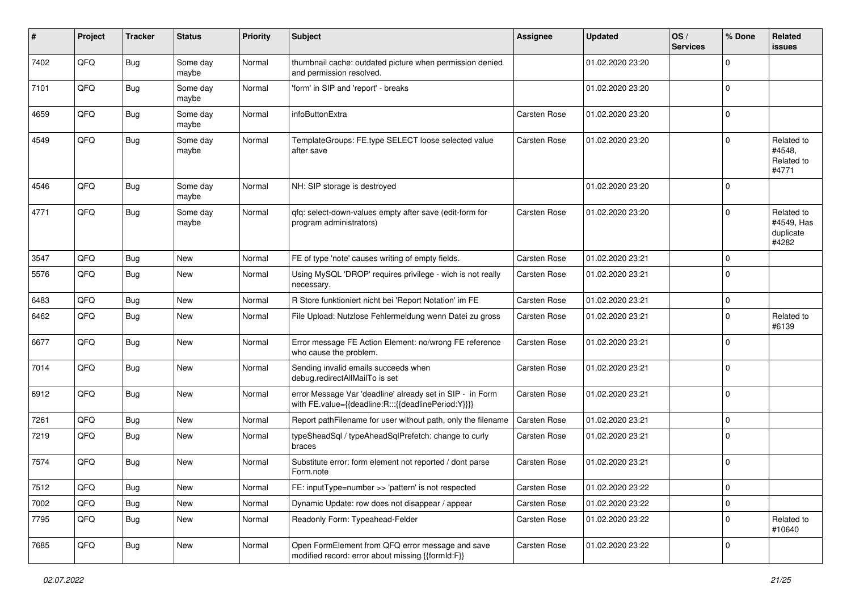| #    | Project | <b>Tracker</b> | <b>Status</b>     | <b>Priority</b> | <b>Subject</b>                                                                                                   | <b>Assignee</b>     | <b>Updated</b>   | OS/<br><b>Services</b> | % Done         | Related<br>issues                              |
|------|---------|----------------|-------------------|-----------------|------------------------------------------------------------------------------------------------------------------|---------------------|------------------|------------------------|----------------|------------------------------------------------|
| 7402 | QFQ     | <b>Bug</b>     | Some day<br>maybe | Normal          | thumbnail cache: outdated picture when permission denied<br>and permission resolved.                             |                     | 01.02.2020 23:20 |                        | $\Omega$       |                                                |
| 7101 | QFQ     | Bug            | Some day<br>maybe | Normal          | 'form' in SIP and 'report' - breaks                                                                              |                     | 01.02.2020 23:20 |                        | $\mathbf 0$    |                                                |
| 4659 | QFQ     | Bug            | Some day<br>maybe | Normal          | infoButtonExtra                                                                                                  | Carsten Rose        | 01.02.2020 23:20 |                        | $\Omega$       |                                                |
| 4549 | QFQ     | Bug            | Some day<br>maybe | Normal          | TemplateGroups: FE.type SELECT loose selected value<br>after save                                                | Carsten Rose        | 01.02.2020 23:20 |                        | 0              | Related to<br>#4548,<br>Related to<br>#4771    |
| 4546 | QFQ     | Bug            | Some day<br>maybe | Normal          | NH: SIP storage is destroyed                                                                                     |                     | 01.02.2020 23:20 |                        | $\Omega$       |                                                |
| 4771 | QFQ     | Bug            | Some day<br>maybe | Normal          | qfq: select-down-values empty after save (edit-form for<br>program administrators)                               | <b>Carsten Rose</b> | 01.02.2020 23:20 |                        | $\Omega$       | Related to<br>#4549, Has<br>duplicate<br>#4282 |
| 3547 | QFQ     | <b>Bug</b>     | <b>New</b>        | Normal          | FE of type 'note' causes writing of empty fields.                                                                | Carsten Rose        | 01.02.2020 23:21 |                        | $\Omega$       |                                                |
| 5576 | QFQ     | <b>Bug</b>     | <b>New</b>        | Normal          | Using MySQL 'DROP' requires privilege - wich is not really<br>necessary.                                         | Carsten Rose        | 01.02.2020 23:21 |                        | $\Omega$       |                                                |
| 6483 | QFQ     | Bug            | New               | Normal          | R Store funktioniert nicht bei 'Report Notation' im FE                                                           | Carsten Rose        | 01.02.2020 23:21 |                        | $\mathbf 0$    |                                                |
| 6462 | QFQ     | Bug            | <b>New</b>        | Normal          | File Upload: Nutzlose Fehlermeldung wenn Datei zu gross                                                          | Carsten Rose        | 01.02.2020 23:21 |                        | 0              | Related to<br>#6139                            |
| 6677 | QFQ     | Bug            | <b>New</b>        | Normal          | Error message FE Action Element: no/wrong FE reference<br>who cause the problem.                                 | Carsten Rose        | 01.02.2020 23:21 |                        | $\mathbf 0$    |                                                |
| 7014 | QFQ     | Bug            | New               | Normal          | Sending invalid emails succeeds when<br>debug.redirectAllMailTo is set                                           | Carsten Rose        | 01.02.2020 23:21 |                        | 0              |                                                |
| 6912 | QFQ     | Bug            | New               | Normal          | error Message Var 'deadline' already set in SIP - in Form<br>with FE.value={{deadline:R:::{{deadlinePeriod:Y}}}} | Carsten Rose        | 01.02.2020 23:21 |                        | $\Omega$       |                                                |
| 7261 | QFQ     | <b>Bug</b>     | New               | Normal          | Report pathFilename for user without path, only the filename                                                     | <b>Carsten Rose</b> | 01.02.2020 23:21 |                        | 0              |                                                |
| 7219 | QFQ     | <b>Bug</b>     | New               | Normal          | typeSheadSql / typeAheadSqlPrefetch: change to curly<br>braces                                                   | Carsten Rose        | 01.02.2020 23:21 |                        | 0              |                                                |
| 7574 | QFQ     | Bug            | <b>New</b>        | Normal          | Substitute error: form element not reported / dont parse<br>Form.note                                            | Carsten Rose        | 01.02.2020 23:21 |                        | $\mathbf 0$    |                                                |
| 7512 | QFQ     | Bug            | <b>New</b>        | Normal          | FE: inputType=number >> 'pattern' is not respected                                                               | Carsten Rose        | 01.02.2020 23:22 |                        | $\overline{0}$ |                                                |
| 7002 | QFQ     | Bug            | New               | Normal          | Dynamic Update: row does not disappear / appear                                                                  | Carsten Rose        | 01.02.2020 23:22 |                        | $\mathbf 0$    |                                                |
| 7795 | QFQ     | <b>Bug</b>     | New               | Normal          | Readonly Form: Typeahead-Felder                                                                                  | Carsten Rose        | 01.02.2020 23:22 |                        | 0              | Related to<br>#10640                           |
| 7685 | QFQ     | <b>Bug</b>     | New               | Normal          | Open FormElement from QFQ error message and save<br>modified record: error about missing {{formId:F}}            | <b>Carsten Rose</b> | 01.02.2020 23:22 |                        | 0              |                                                |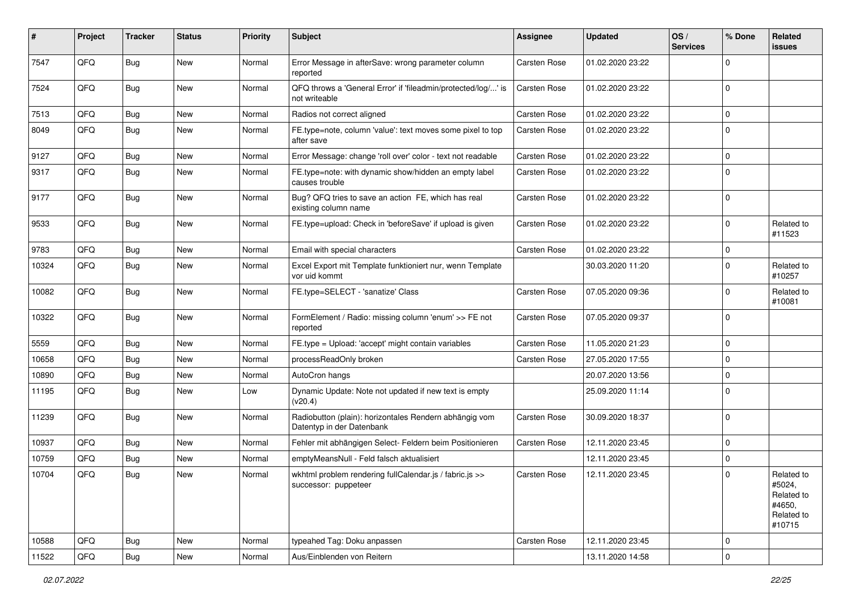| #     | Project | <b>Tracker</b> | <b>Status</b> | <b>Priority</b> | Subject                                                                             | <b>Assignee</b>     | <b>Updated</b>   | OS/<br><b>Services</b> | % Done         | Related<br>issues                                                    |
|-------|---------|----------------|---------------|-----------------|-------------------------------------------------------------------------------------|---------------------|------------------|------------------------|----------------|----------------------------------------------------------------------|
| 7547  | QFQ     | Bug            | <b>New</b>    | Normal          | Error Message in afterSave: wrong parameter column<br>reported                      | Carsten Rose        | 01.02.2020 23:22 |                        | $\mathbf 0$    |                                                                      |
| 7524  | QFQ     | Bug            | New           | Normal          | QFQ throws a 'General Error' if 'fileadmin/protected/log/' is<br>not writeable      | <b>Carsten Rose</b> | 01.02.2020 23:22 |                        | $\mathbf 0$    |                                                                      |
| 7513  | QFQ     | <b>Bug</b>     | <b>New</b>    | Normal          | Radios not correct aligned                                                          | <b>Carsten Rose</b> | 01.02.2020 23:22 |                        | 0              |                                                                      |
| 8049  | QFQ     | Bug            | New           | Normal          | FE.type=note, column 'value': text moves some pixel to top<br>after save            | Carsten Rose        | 01.02.2020 23:22 |                        | $\mathbf 0$    |                                                                      |
| 9127  | QFQ     | <b>Bug</b>     | New           | Normal          | Error Message: change 'roll over' color - text not readable                         | Carsten Rose        | 01.02.2020 23:22 |                        | $\mathbf 0$    |                                                                      |
| 9317  | QFQ     | <b>Bug</b>     | <b>New</b>    | Normal          | FE.type=note: with dynamic show/hidden an empty label<br>causes trouble             | Carsten Rose        | 01.02.2020 23:22 |                        | $\mathbf 0$    |                                                                      |
| 9177  | QFQ     | Bug            | <b>New</b>    | Normal          | Bug? QFQ tries to save an action FE, which has real<br>existing column name         | <b>Carsten Rose</b> | 01.02.2020 23:22 |                        | $\mathbf 0$    |                                                                      |
| 9533  | QFQ     | Bug            | New           | Normal          | FE.type=upload: Check in 'beforeSave' if upload is given                            | Carsten Rose        | 01.02.2020 23:22 |                        | $\mathbf 0$    | Related to<br>#11523                                                 |
| 9783  | QFQ     | <b>Bug</b>     | New           | Normal          | Email with special characters                                                       | Carsten Rose        | 01.02.2020 23:22 |                        | 0              |                                                                      |
| 10324 | QFQ     | <b>Bug</b>     | <b>New</b>    | Normal          | Excel Export mit Template funktioniert nur, wenn Template<br>vor uid kommt          |                     | 30.03.2020 11:20 |                        | $\mathbf 0$    | Related to<br>#10257                                                 |
| 10082 | QFQ     | Bug            | <b>New</b>    | Normal          | FE.type=SELECT - 'sanatize' Class                                                   | <b>Carsten Rose</b> | 07.05.2020 09:36 |                        | $\mathbf 0$    | Related to<br>#10081                                                 |
| 10322 | QFQ     | Bug            | <b>New</b>    | Normal          | FormElement / Radio: missing column 'enum' >> FE not<br>reported                    | Carsten Rose        | 07.05.2020 09:37 |                        | $\mathbf 0$    |                                                                      |
| 5559  | QFQ     | <b>Bug</b>     | <b>New</b>    | Normal          | FE.type = Upload: 'accept' might contain variables                                  | <b>Carsten Rose</b> | 11.05.2020 21:23 |                        | $\mathbf 0$    |                                                                      |
| 10658 | QFQ     | <b>Bug</b>     | New           | Normal          | processReadOnly broken                                                              | Carsten Rose        | 27.05.2020 17:55 |                        | $\mathbf 0$    |                                                                      |
| 10890 | QFQ     | <b>Bug</b>     | New           | Normal          | AutoCron hangs                                                                      |                     | 20.07.2020 13:56 |                        | $\mathbf 0$    |                                                                      |
| 11195 | QFQ     | Bug            | New           | Low             | Dynamic Update: Note not updated if new text is empty<br>(v20.4)                    |                     | 25.09.2020 11:14 |                        | $\mathbf 0$    |                                                                      |
| 11239 | QFQ     | Bug            | New           | Normal          | Radiobutton (plain): horizontales Rendern abhängig vom<br>Datentyp in der Datenbank | Carsten Rose        | 30.09.2020 18:37 |                        | $\mathbf 0$    |                                                                      |
| 10937 | QFQ     | Bug            | New           | Normal          | Fehler mit abhängigen Select- Feldern beim Positionieren                            | Carsten Rose        | 12.11.2020 23:45 |                        | 0              |                                                                      |
| 10759 | QFQ     | <b>Bug</b>     | New           | Normal          | emptyMeansNull - Feld falsch aktualisiert                                           |                     | 12.11.2020 23:45 |                        | $\mathbf 0$    |                                                                      |
| 10704 | QFQ     | Bug            | New           | Normal          | wkhtml problem rendering fullCalendar.js / fabric.js >><br>successor: puppeteer     | Carsten Rose        | 12.11.2020 23:45 |                        | $\mathbf 0$    | Related to<br>#5024,<br>Related to<br>#4650,<br>Related to<br>#10715 |
| 10588 | QFQ     | Bug            | New           | Normal          | typeahed Tag: Doku anpassen                                                         | Carsten Rose        | 12.11.2020 23:45 |                        | $\mathbf 0$    |                                                                      |
| 11522 | QFG     | Bug            | New           | Normal          | Aus/Einblenden von Reitern                                                          |                     | 13.11.2020 14:58 |                        | $\overline{0}$ |                                                                      |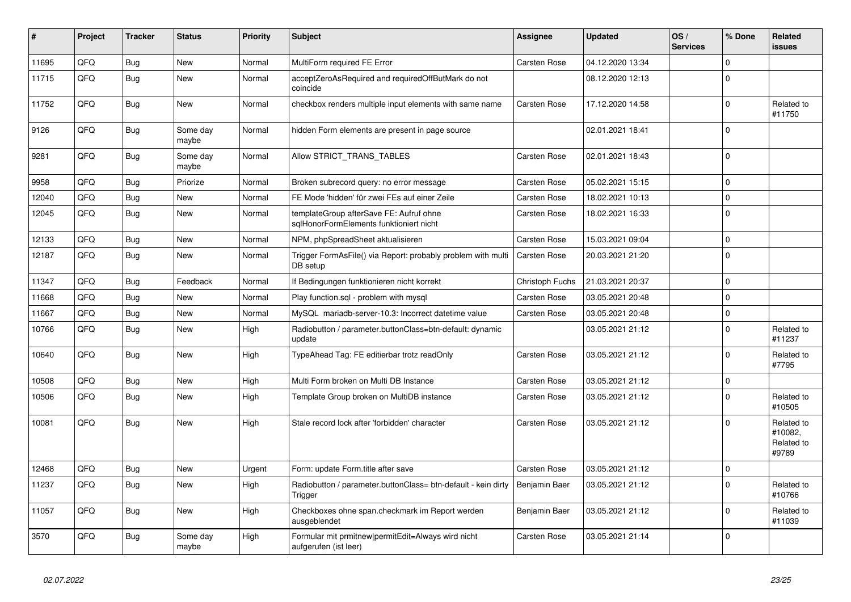| #     | <b>Project</b> | <b>Tracker</b> | <b>Status</b>     | <b>Priority</b> | <b>Subject</b>                                                                     | Assignee            | <b>Updated</b>   | OS/<br><b>Services</b> | % Done      | Related<br><b>issues</b>                     |
|-------|----------------|----------------|-------------------|-----------------|------------------------------------------------------------------------------------|---------------------|------------------|------------------------|-------------|----------------------------------------------|
| 11695 | QFQ            | <b>Bug</b>     | <b>New</b>        | Normal          | MultiForm required FE Error                                                        | <b>Carsten Rose</b> | 04.12.2020 13:34 |                        | $\Omega$    |                                              |
| 11715 | QFQ            | Bug            | <b>New</b>        | Normal          | acceptZeroAsRequired and requiredOffButMark do not<br>coincide                     |                     | 08.12.2020 12:13 |                        | $\Omega$    |                                              |
| 11752 | QFQ            | Bug            | <b>New</b>        | Normal          | checkbox renders multiple input elements with same name                            | <b>Carsten Rose</b> | 17.12.2020 14:58 |                        | $\Omega$    | Related to<br>#11750                         |
| 9126  | QFQ            | Bug            | Some day<br>maybe | Normal          | hidden Form elements are present in page source                                    |                     | 02.01.2021 18:41 |                        | $\Omega$    |                                              |
| 9281  | QFQ            | Bug            | Some day<br>maybe | Normal          | Allow STRICT TRANS TABLES                                                          | Carsten Rose        | 02.01.2021 18:43 |                        | $\Omega$    |                                              |
| 9958  | QFQ            | Bug            | Priorize          | Normal          | Broken subrecord query: no error message                                           | <b>Carsten Rose</b> | 05.02.2021 15:15 |                        | $\Omega$    |                                              |
| 12040 | QFQ            | Bug            | <b>New</b>        | Normal          | FE Mode 'hidden' für zwei FEs auf einer Zeile                                      | Carsten Rose        | 18.02.2021 10:13 |                        | 0           |                                              |
| 12045 | QFQ            | Bug            | <b>New</b>        | Normal          | templateGroup afterSave FE: Aufruf ohne<br>sglHonorFormElements funktioniert nicht | <b>Carsten Rose</b> | 18.02.2021 16:33 |                        | $\Omega$    |                                              |
| 12133 | QFQ            | Bug            | <b>New</b>        | Normal          | NPM, phpSpreadSheet aktualisieren                                                  | <b>Carsten Rose</b> | 15.03.2021 09:04 |                        | 0           |                                              |
| 12187 | QFQ            | <b>Bug</b>     | <b>New</b>        | Normal          | Trigger FormAsFile() via Report: probably problem with multi<br>DB setup           | <b>Carsten Rose</b> | 20.03.2021 21:20 |                        | $\mathbf 0$ |                                              |
| 11347 | QFQ            | Bug            | Feedback          | Normal          | If Bedingungen funktionieren nicht korrekt                                         | Christoph Fuchs     | 21.03.2021 20:37 |                        | $\Omega$    |                                              |
| 11668 | QFQ            | Bug            | <b>New</b>        | Normal          | Play function.sql - problem with mysql                                             | Carsten Rose        | 03.05.2021 20:48 |                        | $\Omega$    |                                              |
| 11667 | QFQ            | Bug            | <b>New</b>        | Normal          | MySQL mariadb-server-10.3: Incorrect datetime value                                | Carsten Rose        | 03.05.2021 20:48 |                        | $\Omega$    |                                              |
| 10766 | QFQ            | <b>Bug</b>     | <b>New</b>        | High            | Radiobutton / parameter.buttonClass=btn-default: dynamic<br>update                 |                     | 03.05.2021 21:12 |                        | $\Omega$    | Related to<br>#11237                         |
| 10640 | QFQ            | Bug            | New               | High            | TypeAhead Tag: FE editierbar trotz readOnly                                        | <b>Carsten Rose</b> | 03.05.2021 21:12 |                        | $\Omega$    | Related to<br>#7795                          |
| 10508 | QFQ            | Bug            | <b>New</b>        | High            | Multi Form broken on Multi DB Instance                                             | Carsten Rose        | 03.05.2021 21:12 |                        | $\Omega$    |                                              |
| 10506 | QFQ            | Bug            | <b>New</b>        | High            | Template Group broken on MultiDB instance                                          | <b>Carsten Rose</b> | 03.05.2021 21:12 |                        | $\Omega$    | Related to<br>#10505                         |
| 10081 | QFQ            | Bug            | <b>New</b>        | High            | Stale record lock after 'forbidden' character                                      | Carsten Rose        | 03.05.2021 21:12 |                        | $\Omega$    | Related to<br>#10082,<br>Related to<br>#9789 |
| 12468 | QFQ            | Bug            | <b>New</b>        | Urgent          | Form: update Form.title after save                                                 | Carsten Rose        | 03.05.2021 21:12 |                        | 0           |                                              |
| 11237 | QFQ            | Bug            | <b>New</b>        | High            | Radiobutton / parameter.buttonClass= btn-default - kein dirty<br>Trigger           | Benjamin Baer       | 03.05.2021 21:12 |                        | $\Omega$    | Related to<br>#10766                         |
| 11057 | QFQ            | Bug            | <b>New</b>        | High            | Checkboxes ohne span.checkmark im Report werden<br>ausgeblendet                    | Benjamin Baer       | 03.05.2021 21:12 |                        | $\Omega$    | Related to<br>#11039                         |
| 3570  | QFQ            | Bug            | Some day<br>maybe | High            | Formular mit prmitnew permitEdit=Always wird nicht<br>aufgerufen (ist leer)        | Carsten Rose        | 03.05.2021 21:14 |                        | $\Omega$    |                                              |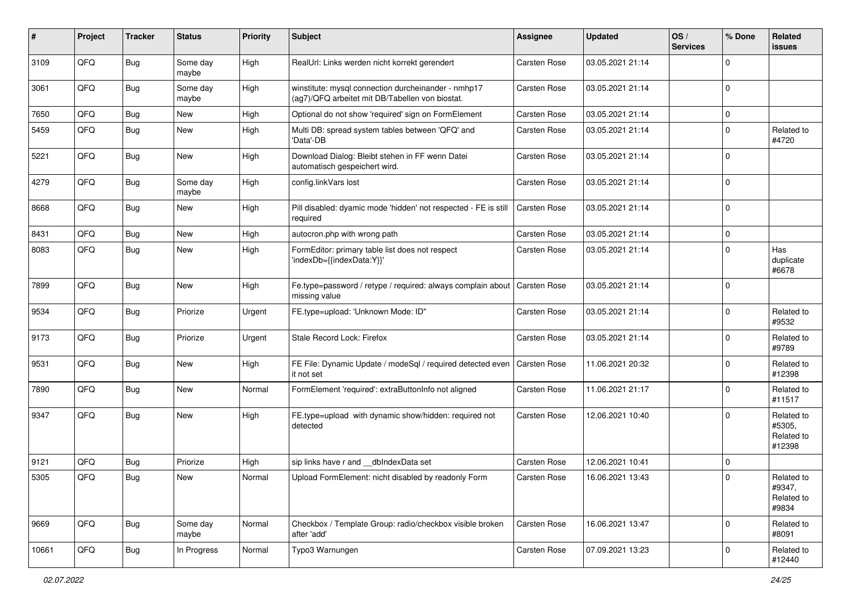| #     | Project | <b>Tracker</b> | <b>Status</b>     | <b>Priority</b> | <b>Subject</b>                                                                                         | <b>Assignee</b>     | <b>Updated</b>   | OS/<br><b>Services</b> | % Done         | Related<br><b>issues</b>                     |
|-------|---------|----------------|-------------------|-----------------|--------------------------------------------------------------------------------------------------------|---------------------|------------------|------------------------|----------------|----------------------------------------------|
| 3109  | QFQ     | <b>Bug</b>     | Some day<br>maybe | High            | RealUrl: Links werden nicht korrekt gerendert                                                          | <b>Carsten Rose</b> | 03.05.2021 21:14 |                        | $\Omega$       |                                              |
| 3061  | QFQ     | Bug            | Some day<br>maybe | High            | winstitute: mysql connection durcheinander - nmhp17<br>(ag7)/QFQ arbeitet mit DB/Tabellen von biostat. | <b>Carsten Rose</b> | 03.05.2021 21:14 |                        | $\Omega$       |                                              |
| 7650  | QFQ     | <b>Bug</b>     | <b>New</b>        | High            | Optional do not show 'required' sign on FormElement                                                    | <b>Carsten Rose</b> | 03.05.2021 21:14 |                        | $\mathbf 0$    |                                              |
| 5459  | QFQ     | Bug            | New               | High            | Multi DB: spread system tables between 'QFQ' and<br>'Data'-DB                                          | <b>Carsten Rose</b> | 03.05.2021 21:14 |                        | $\overline{0}$ | Related to<br>#4720                          |
| 5221  | QFQ     | <b>Bug</b>     | <b>New</b>        | High            | Download Dialog: Bleibt stehen in FF wenn Datei<br>automatisch gespeichert wird.                       | <b>Carsten Rose</b> | 03.05.2021 21:14 |                        | $\Omega$       |                                              |
| 4279  | QFQ     | Bug            | Some day<br>maybe | High            | config.linkVars lost                                                                                   | <b>Carsten Rose</b> | 03.05.2021 21:14 |                        | $\overline{0}$ |                                              |
| 8668  | QFQ     | <b>Bug</b>     | New               | High            | Pill disabled: dyamic mode 'hidden' not respected - FE is still<br>required                            | <b>Carsten Rose</b> | 03.05.2021 21:14 |                        | $\overline{0}$ |                                              |
| 8431  | QFQ     | <b>Bug</b>     | <b>New</b>        | High            | autocron.php with wrong path                                                                           | <b>Carsten Rose</b> | 03.05.2021 21:14 |                        | $\mathbf 0$    |                                              |
| 8083  | QFQ     | Bug            | <b>New</b>        | High            | FormEditor: primary table list does not respect<br>'indexDb={{indexData:Y}}'                           | <b>Carsten Rose</b> | 03.05.2021 21:14 |                        | $\Omega$       | Has<br>duplicate<br>#6678                    |
| 7899  | QFQ     | Bug            | <b>New</b>        | High            | Fe.type=password / retype / required: always complain about<br>missing value                           | <b>Carsten Rose</b> | 03.05.2021 21:14 |                        | $\Omega$       |                                              |
| 9534  | QFQ     | Bug            | Priorize          | Urgent          | FE.type=upload: 'Unknown Mode: ID"                                                                     | <b>Carsten Rose</b> | 03.05.2021 21:14 |                        | $\overline{0}$ | Related to<br>#9532                          |
| 9173  | QFQ     | Bug            | Priorize          | Urgent          | Stale Record Lock: Firefox                                                                             | <b>Carsten Rose</b> | 03.05.2021 21:14 |                        | $\Omega$       | Related to<br>#9789                          |
| 9531  | QFQ     | Bug            | <b>New</b>        | High            | FE File: Dynamic Update / modeSql / required detected even<br>it not set                               | <b>Carsten Rose</b> | 11.06.2021 20:32 |                        | $\mathbf 0$    | Related to<br>#12398                         |
| 7890  | QFQ     | <b>Bug</b>     | <b>New</b>        | Normal          | FormElement 'required': extraButtonInfo not aligned                                                    | <b>Carsten Rose</b> | 11.06.2021 21:17 |                        | $\mathbf 0$    | Related to<br>#11517                         |
| 9347  | QFQ     | Bug            | New               | High            | FE.type=upload with dynamic show/hidden: required not<br>detected                                      | <b>Carsten Rose</b> | 12.06.2021 10:40 |                        | $\Omega$       | Related to<br>#5305,<br>Related to<br>#12398 |
| 9121  | QFQ     | <b>Bug</b>     | Priorize          | High            | sip links have r and __dbIndexData set                                                                 | Carsten Rose        | 12.06.2021 10:41 |                        | $\mathbf 0$    |                                              |
| 5305  | QFQ     | Bug            | New               | Normal          | Upload FormElement: nicht disabled by readonly Form                                                    | <b>Carsten Rose</b> | 16.06.2021 13:43 |                        | $\Omega$       | Related to<br>#9347,<br>Related to<br>#9834  |
| 9669  | QFQ     | Bug            | Some day<br>maybe | Normal          | Checkbox / Template Group: radio/checkbox visible broken<br>after 'add'                                | <b>Carsten Rose</b> | 16.06.2021 13:47 |                        | $\overline{0}$ | Related to<br>#8091                          |
| 10661 | QFQ     | <b>Bug</b>     | In Progress       | Normal          | Typo3 Warnungen                                                                                        | Carsten Rose        | 07.09.2021 13:23 |                        | $\Omega$       | Related to<br>#12440                         |